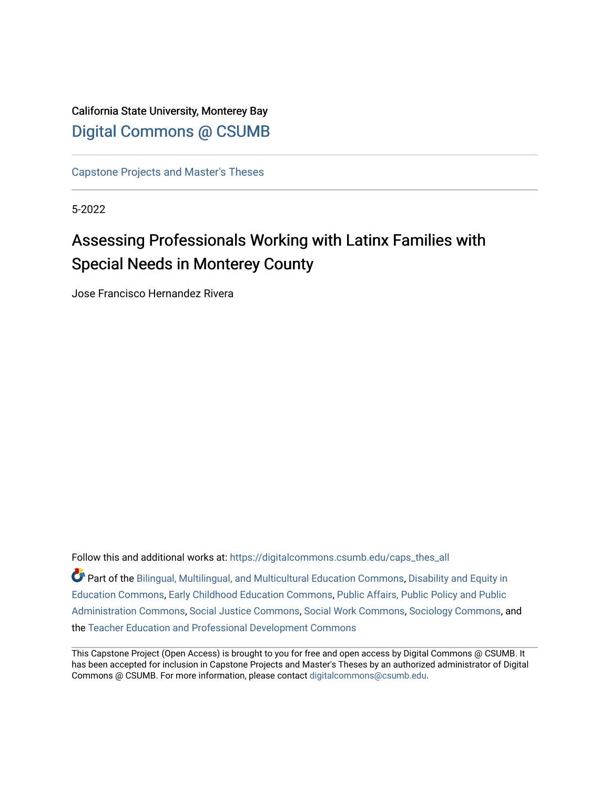# California State University, Monterey Bay [Digital Commons @ CSUMB](https://digitalcommons.csumb.edu/)

[Capstone Projects and Master's Theses](https://digitalcommons.csumb.edu/caps_thes_all)

5-2022

# Assessing Professionals Working with Latinx Families with Special Needs in Monterey County

Jose Francisco Hernandez Rivera

Follow this and additional works at: [https://digitalcommons.csumb.edu/caps\\_thes\\_all](https://digitalcommons.csumb.edu/caps_thes_all?utm_source=digitalcommons.csumb.edu%2Fcaps_thes_all%2F1285&utm_medium=PDF&utm_campaign=PDFCoverPages)

Part of the [Bilingual, Multilingual, and Multicultural Education Commons,](https://network.bepress.com/hgg/discipline/785?utm_source=digitalcommons.csumb.edu%2Fcaps_thes_all%2F1285&utm_medium=PDF&utm_campaign=PDFCoverPages) [Disability and Equity in](https://network.bepress.com/hgg/discipline/1040?utm_source=digitalcommons.csumb.edu%2Fcaps_thes_all%2F1285&utm_medium=PDF&utm_campaign=PDFCoverPages)  [Education Commons,](https://network.bepress.com/hgg/discipline/1040?utm_source=digitalcommons.csumb.edu%2Fcaps_thes_all%2F1285&utm_medium=PDF&utm_campaign=PDFCoverPages) [Early Childhood Education Commons,](https://network.bepress.com/hgg/discipline/1377?utm_source=digitalcommons.csumb.edu%2Fcaps_thes_all%2F1285&utm_medium=PDF&utm_campaign=PDFCoverPages) [Public Affairs, Public Policy and Public](https://network.bepress.com/hgg/discipline/393?utm_source=digitalcommons.csumb.edu%2Fcaps_thes_all%2F1285&utm_medium=PDF&utm_campaign=PDFCoverPages)  [Administration Commons,](https://network.bepress.com/hgg/discipline/393?utm_source=digitalcommons.csumb.edu%2Fcaps_thes_all%2F1285&utm_medium=PDF&utm_campaign=PDFCoverPages) [Social Justice Commons,](https://network.bepress.com/hgg/discipline/1432?utm_source=digitalcommons.csumb.edu%2Fcaps_thes_all%2F1285&utm_medium=PDF&utm_campaign=PDFCoverPages) [Social Work Commons](https://network.bepress.com/hgg/discipline/713?utm_source=digitalcommons.csumb.edu%2Fcaps_thes_all%2F1285&utm_medium=PDF&utm_campaign=PDFCoverPages), [Sociology Commons,](https://network.bepress.com/hgg/discipline/416?utm_source=digitalcommons.csumb.edu%2Fcaps_thes_all%2F1285&utm_medium=PDF&utm_campaign=PDFCoverPages) and the [Teacher Education and Professional Development Commons](https://network.bepress.com/hgg/discipline/803?utm_source=digitalcommons.csumb.edu%2Fcaps_thes_all%2F1285&utm_medium=PDF&utm_campaign=PDFCoverPages) 

This Capstone Project (Open Access) is brought to you for free and open access by Digital Commons @ CSUMB. It has been accepted for inclusion in Capstone Projects and Master's Theses by an authorized administrator of Digital Commons @ CSUMB. For more information, please contact [digitalcommons@csumb.edu](mailto:digitalcommons@csumb.edu).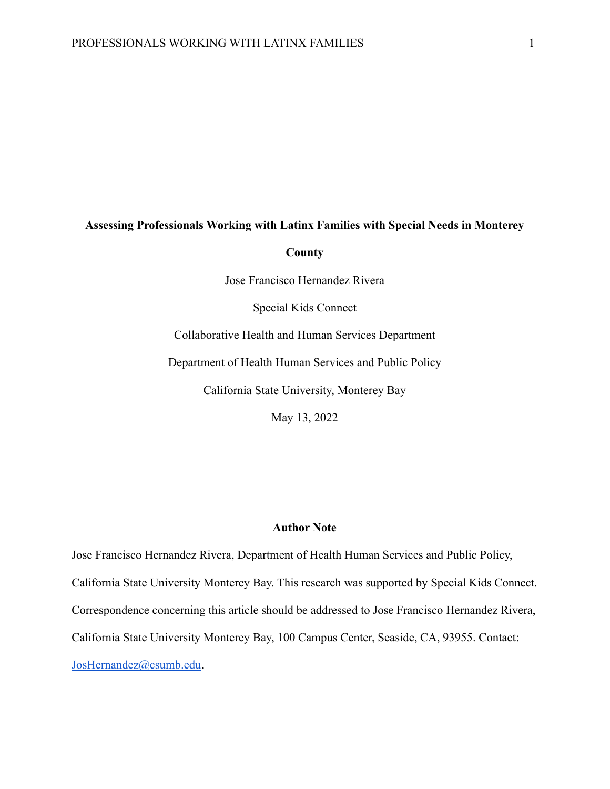# **Assessing Professionals Working with Latinx Families with Special Needs in Monterey**

#### **County**

Jose Francisco Hernandez Rivera

Special Kids Connect

Collaborative Health and Human Services Department

Department of Health Human Services and Public Policy

California State University, Monterey Bay

May 13, 2022

## **Author Note**

Jose Francisco Hernandez Rivera, Department of Health Human Services and Public Policy, California State University Monterey Bay. This research was supported by Special Kids Connect. Correspondence concerning this article should be addressed to Jose Francisco Hernandez Rivera, California State University Monterey Bay, 100 Campus Center, Seaside, CA, 93955. Contact: [JosHernandez@csumb.edu](mailto:JosHernandez@csumb.edu).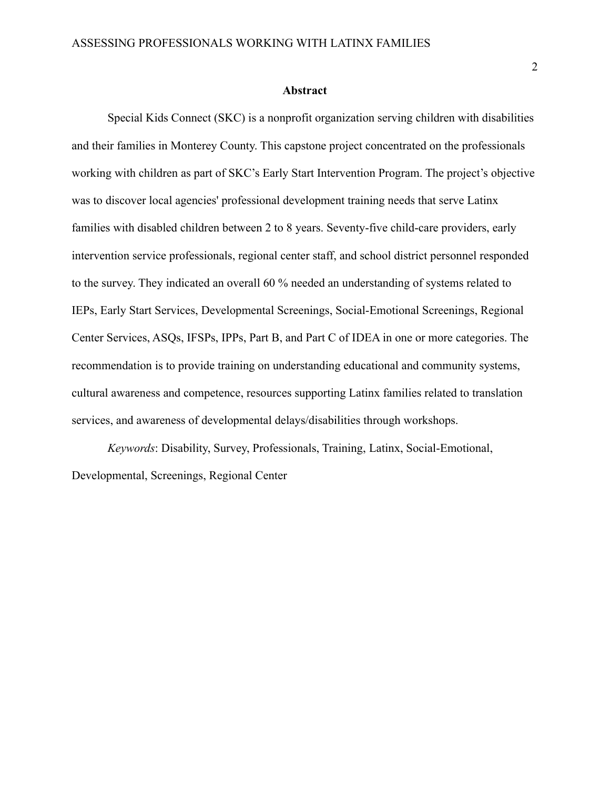#### **Abstract**

<span id="page-2-0"></span>Special Kids Connect (SKC) is a nonprofit organization serving children with disabilities and their families in Monterey County. This capstone project concentrated on the professionals working with children as part of SKC's Early Start Intervention Program. The project's objective was to discover local agencies' professional development training needs that serve Latinx families with disabled children between 2 to 8 years. Seventy-five child-care providers, early intervention service professionals, regional center staff, and school district personnel responded to the survey. They indicated an overall 60 % needed an understanding of systems related to IEPs, Early Start Services, Developmental Screenings, Social-Emotional Screenings, Regional Center Services, ASQs, IFSPs, IPPs, Part B, and Part C of IDEA in one or more categories. The recommendation is to provide training on understanding educational and community systems, cultural awareness and competence, resources supporting Latinx families related to translation services, and awareness of developmental delays/disabilities through workshops.

*Keywords*: Disability, Survey, Professionals, Training, Latinx, Social-Emotional, Developmental, Screenings, Regional Center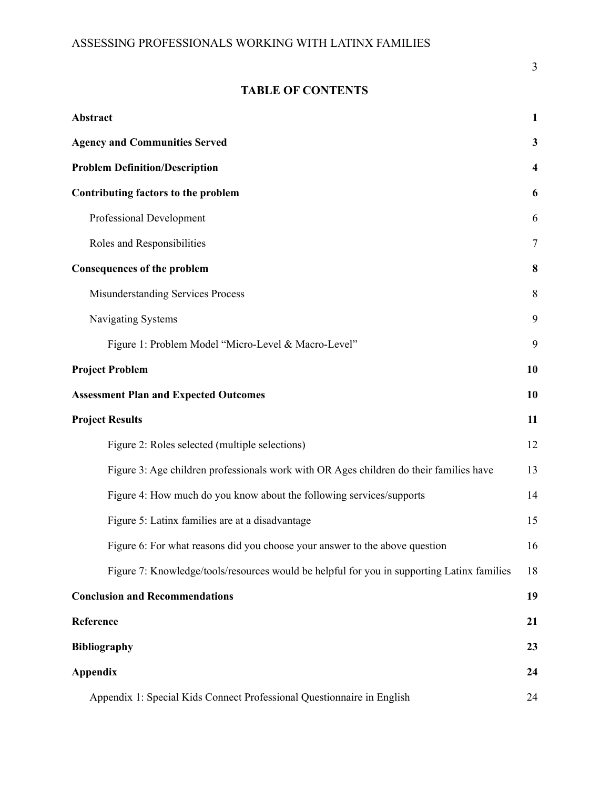## **TABLE OF CONTENTS**

| Abstract                                                                                   | $\mathbf{1}$ |
|--------------------------------------------------------------------------------------------|--------------|
| <b>Agency and Communities Served</b>                                                       | 3            |
| <b>Problem Definition/Description</b>                                                      | 4            |
| <b>Contributing factors to the problem</b>                                                 | 6            |
| Professional Development                                                                   | 6            |
| Roles and Responsibilities                                                                 | 7            |
| <b>Consequences of the problem</b>                                                         | 8            |
| Misunderstanding Services Process                                                          | 8            |
| Navigating Systems                                                                         | 9            |
| Figure 1: Problem Model "Micro-Level & Macro-Level"                                        | 9            |
| <b>Project Problem</b>                                                                     | 10           |
| <b>Assessment Plan and Expected Outcomes</b>                                               | 10           |
| <b>Project Results</b>                                                                     | 11           |
| Figure 2: Roles selected (multiple selections)                                             | 12           |
| Figure 3: Age children professionals work with OR Ages children do their families have     | 13           |
| Figure 4: How much do you know about the following services/supports                       | 14           |
| Figure 5: Latinx families are at a disadvantage                                            | 15           |
| Figure 6: For what reasons did you choose your answer to the above question                | 16           |
| Figure 7: Knowledge/tools/resources would be helpful for you in supporting Latinx families | 18           |
| <b>Conclusion and Recommendations</b>                                                      | 19           |
| Reference                                                                                  | 21           |
| <b>Bibliography</b>                                                                        | 23           |
| <b>Appendix</b>                                                                            | 24           |
| Appendix 1: Special Kids Connect Professional Questionnaire in English                     | 24           |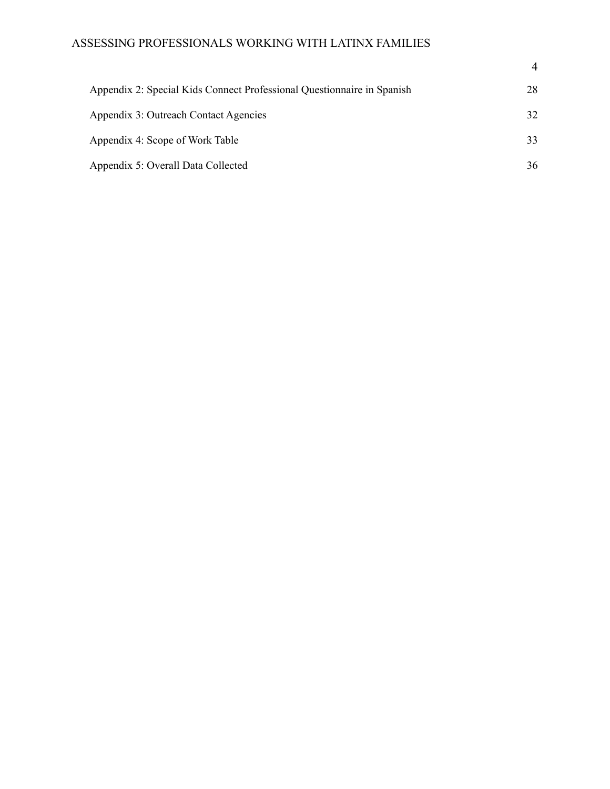## ASSESSING PROFESSIONALS WORKING WITH LATINX FAMILIES

| Appendix 2: Special Kids Connect Professional Questionnaire in Spanish | 28 |
|------------------------------------------------------------------------|----|
| Appendix 3: Outreach Contact Agencies                                  | 32 |
| Appendix 4: Scope of Work Table                                        | 33 |
| Appendix 5: Overall Data Collected                                     | 36 |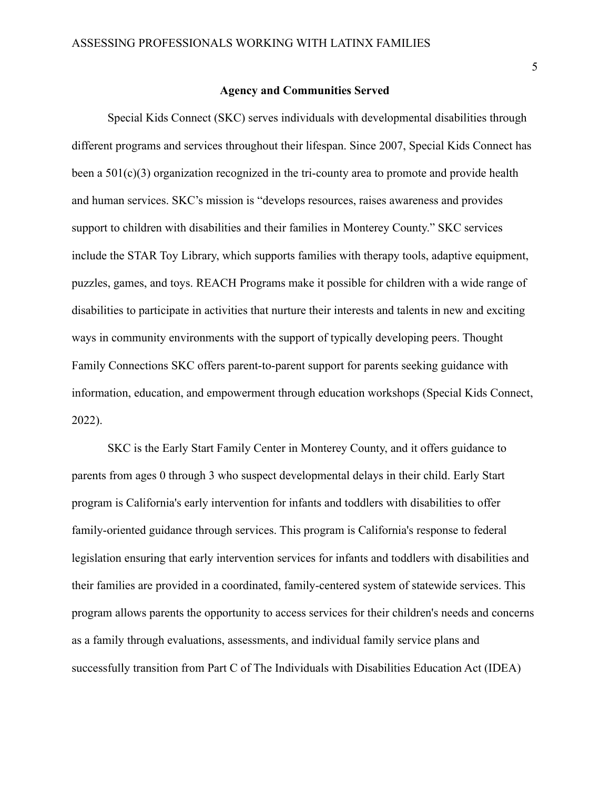### **Agency and Communities Served**

<span id="page-5-0"></span>Special Kids Connect (SKC) serves individuals with developmental disabilities through different programs and services throughout their lifespan. Since 2007, Special Kids Connect has been a 501(c)(3) organization recognized in the tri-county area to promote and provide health and human services. SKC's mission is "develops resources, raises awareness and provides support to children with disabilities and their families in Monterey County." SKC services include the STAR Toy Library, which supports families with therapy tools, adaptive equipment, puzzles, games, and toys. REACH Programs make it possible for children with a wide range of disabilities to participate in activities that nurture their interests and talents in new and exciting ways in community environments with the support of typically developing peers. Thought Family Connections SKC offers parent-to-parent support for parents seeking guidance with information, education, and empowerment through education workshops (Special Kids Connect, 2022).

SKC is the Early Start Family Center in Monterey County, and it offers guidance to parents from ages 0 through 3 who suspect developmental delays in their child. Early Start program is California's early intervention for infants and toddlers with disabilities to offer family-oriented guidance through services. This program is California's response to federal legislation ensuring that early intervention services for infants and toddlers with disabilities and their families are provided in a coordinated, family-centered system of statewide services. This program allows parents the opportunity to access services for their children's needs and concerns as a family through evaluations, assessments, and individual family service plans and successfully transition from Part C of The Individuals with Disabilities Education Act (IDEA)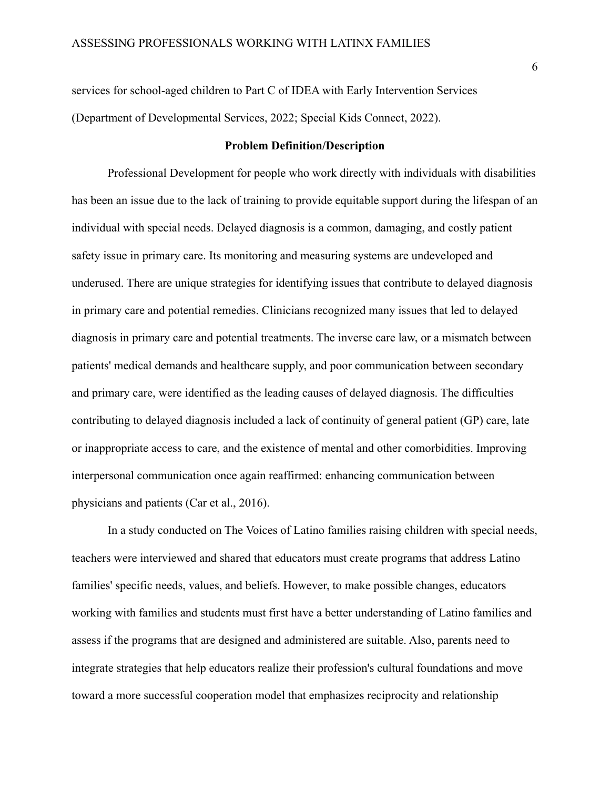services for school-aged children to Part C of IDEA with Early Intervention Services (Department of Developmental Services, 2022; Special Kids Connect, 2022).

#### **Problem Definition/Description**

<span id="page-6-0"></span>Professional Development for people who work directly with individuals with disabilities has been an issue due to the lack of training to provide equitable support during the lifespan of an individual with special needs. Delayed diagnosis is a common, damaging, and costly patient safety issue in primary care. Its monitoring and measuring systems are undeveloped and underused. There are unique strategies for identifying issues that contribute to delayed diagnosis in primary care and potential remedies. Clinicians recognized many issues that led to delayed diagnosis in primary care and potential treatments. The inverse care law, or a mismatch between patients' medical demands and healthcare supply, and poor communication between secondary and primary care, were identified as the leading causes of delayed diagnosis. The difficulties contributing to delayed diagnosis included a lack of continuity of general patient (GP) care, late or inappropriate access to care, and the existence of mental and other comorbidities. Improving interpersonal communication once again reaffirmed: enhancing communication between physicians and patients (Car et al., 2016).

In a study conducted on The Voices of Latino families raising children with special needs, teachers were interviewed and shared that educators must create programs that address Latino families' specific needs, values, and beliefs. However, to make possible changes, educators working with families and students must first have a better understanding of Latino families and assess if the programs that are designed and administered are suitable. Also, parents need to integrate strategies that help educators realize their profession's cultural foundations and move toward a more successful cooperation model that emphasizes reciprocity and relationship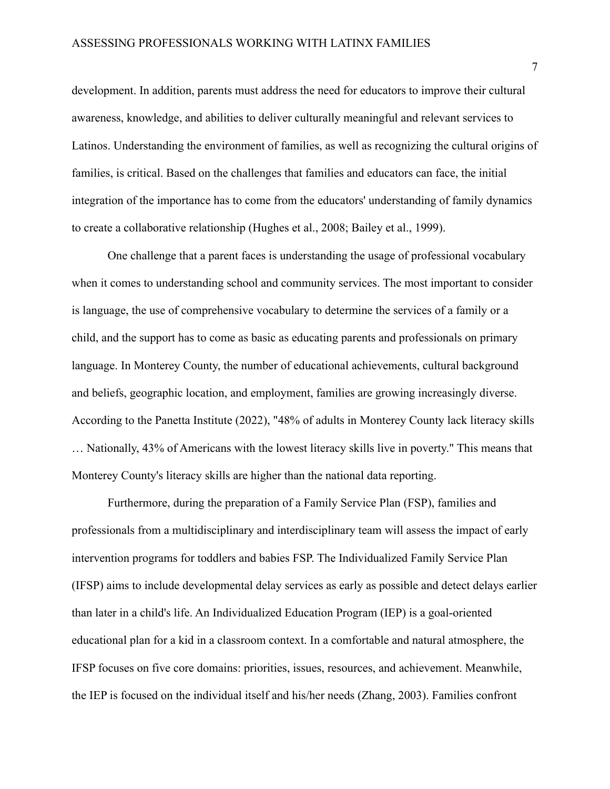development. In addition, parents must address the need for educators to improve their cultural awareness, knowledge, and abilities to deliver culturally meaningful and relevant services to Latinos. Understanding the environment of families, as well as recognizing the cultural origins of families, is critical. Based on the challenges that families and educators can face, the initial integration of the importance has to come from the educators' understanding of family dynamics to create a collaborative relationship (Hughes et al., 2008; Bailey et al., 1999).

One challenge that a parent faces is understanding the usage of professional vocabulary when it comes to understanding school and community services. The most important to consider is language, the use of comprehensive vocabulary to determine the services of a family or a child, and the support has to come as basic as educating parents and professionals on primary language. In Monterey County, the number of educational achievements, cultural background and beliefs, geographic location, and employment, families are growing increasingly diverse. According to the Panetta Institute (2022), "48% of adults in Monterey County lack literacy skills … Nationally, 43% of Americans with the lowest literacy skills live in poverty." This means that Monterey County's literacy skills are higher than the national data reporting.

Furthermore, during the preparation of a Family Service Plan (FSP), families and professionals from a multidisciplinary and interdisciplinary team will assess the impact of early intervention programs for toddlers and babies FSP. The Individualized Family Service Plan (IFSP) aims to include developmental delay services as early as possible and detect delays earlier than later in a child's life. An Individualized Education Program (IEP) is a goal-oriented educational plan for a kid in a classroom context. In a comfortable and natural atmosphere, the IFSP focuses on five core domains: priorities, issues, resources, and achievement. Meanwhile, the IEP is focused on the individual itself and his/her needs (Zhang, 2003). Families confront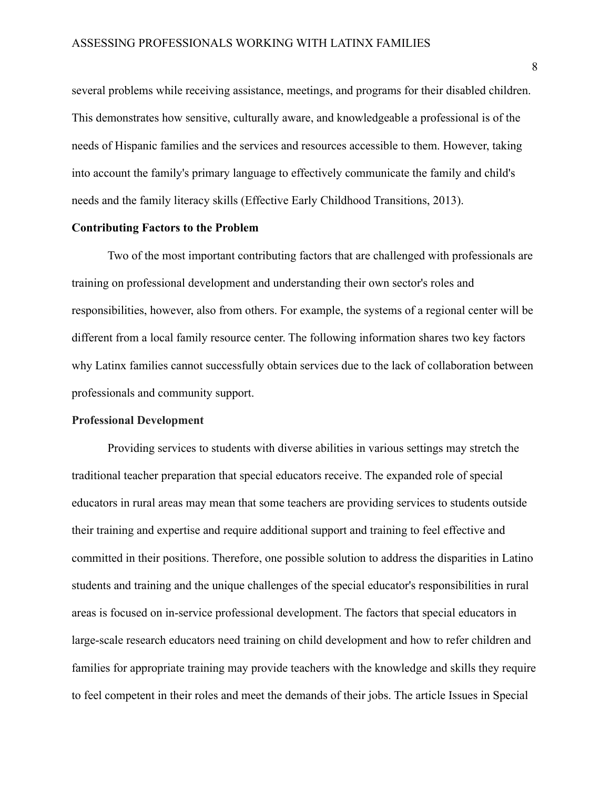several problems while receiving assistance, meetings, and programs for their disabled children. This demonstrates how sensitive, culturally aware, and knowledgeable a professional is of the needs of Hispanic families and the services and resources accessible to them. However, taking into account the family's primary language to effectively communicate the family and child's needs and the family literacy skills (Effective Early Childhood Transitions, 2013).

## <span id="page-8-0"></span>**Contributing Factors to the Problem**

Two of the most important contributing factors that are challenged with professionals are training on professional development and understanding their own sector's roles and responsibilities, however, also from others. For example, the systems of a regional center will be different from a local family resource center. The following information shares two key factors why Latinx families cannot successfully obtain services due to the lack of collaboration between professionals and community support.

#### <span id="page-8-1"></span>**Professional Development**

Providing services to students with diverse abilities in various settings may stretch the traditional teacher preparation that special educators receive. The expanded role of special educators in rural areas may mean that some teachers are providing services to students outside their training and expertise and require additional support and training to feel effective and committed in their positions. Therefore, one possible solution to address the disparities in Latino students and training and the unique challenges of the special educator's responsibilities in rural areas is focused on in-service professional development. The factors that special educators in large-scale research educators need training on child development and how to refer children and families for appropriate training may provide teachers with the knowledge and skills they require to feel competent in their roles and meet the demands of their jobs. The article Issues in Special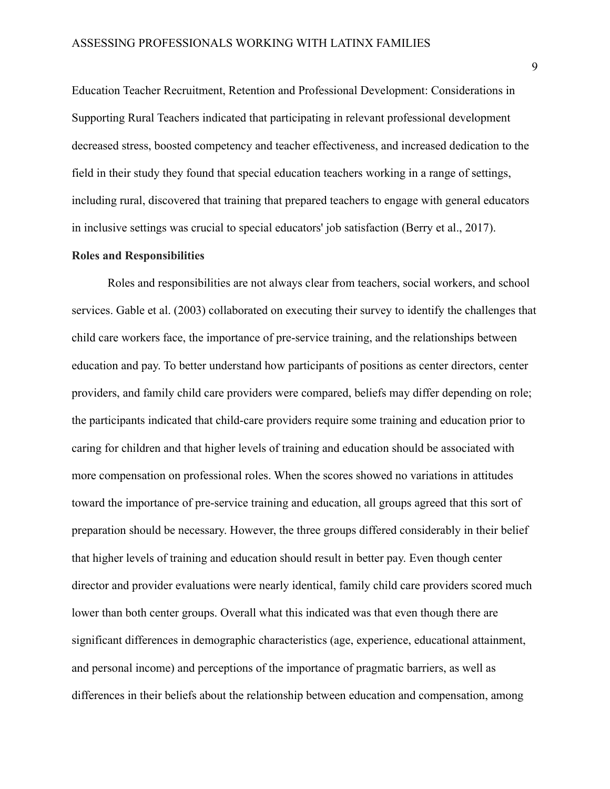Education Teacher Recruitment, Retention and Professional Development: Considerations in Supporting Rural Teachers indicated that participating in relevant professional development decreased stress, boosted competency and teacher effectiveness, and increased dedication to the field in their study they found that special education teachers working in a range of settings, including rural, discovered that training that prepared teachers to engage with general educators in inclusive settings was crucial to special educators' job satisfaction (Berry et al., 2017).

#### <span id="page-9-0"></span>**Roles and Responsibilities**

Roles and responsibilities are not always clear from teachers, social workers, and school services. Gable et al. (2003) collaborated on executing their survey to identify the challenges that child care workers face, the importance of pre-service training, and the relationships between education and pay. To better understand how participants of positions as center directors, center providers, and family child care providers were compared, beliefs may differ depending on role; the participants indicated that child-care providers require some training and education prior to caring for children and that higher levels of training and education should be associated with more compensation on professional roles. When the scores showed no variations in attitudes toward the importance of pre-service training and education, all groups agreed that this sort of preparation should be necessary. However, the three groups differed considerably in their belief that higher levels of training and education should result in better pay. Even though center director and provider evaluations were nearly identical, family child care providers scored much lower than both center groups. Overall what this indicated was that even though there are significant differences in demographic characteristics (age, experience, educational attainment, and personal income) and perceptions of the importance of pragmatic barriers, as well as differences in their beliefs about the relationship between education and compensation, among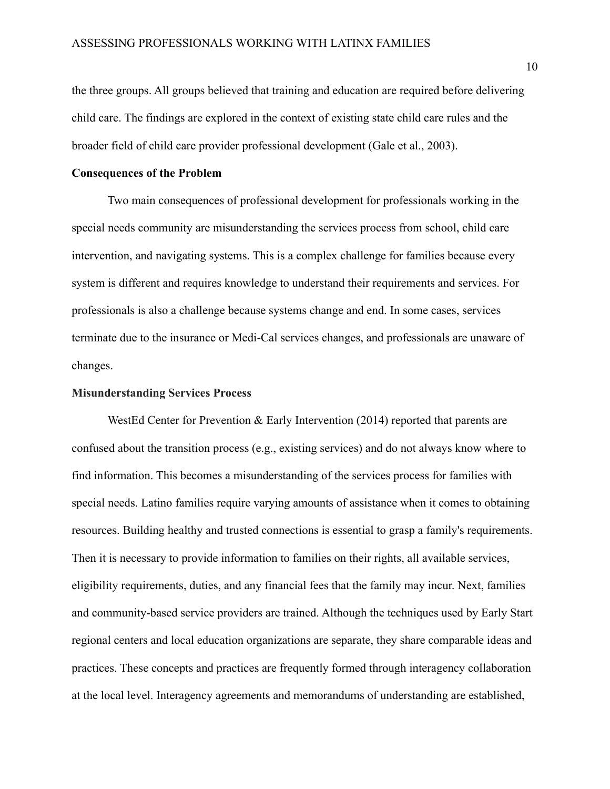the three groups. All groups believed that training and education are required before delivering child care. The findings are explored in the context of existing state child care rules and the broader field of child care provider professional development (Gale et al., 2003).

## <span id="page-10-0"></span>**Consequences of the Problem**

Two main consequences of professional development for professionals working in the special needs community are misunderstanding the services process from school, child care intervention, and navigating systems. This is a complex challenge for families because every system is different and requires knowledge to understand their requirements and services. For professionals is also a challenge because systems change and end. In some cases, services terminate due to the insurance or Medi-Cal services changes, and professionals are unaware of changes.

#### <span id="page-10-1"></span>**Misunderstanding Services Process**

WestEd Center for Prevention & Early Intervention (2014) reported that parents are confused about the transition process (e.g., existing services) and do not always know where to find information. This becomes a misunderstanding of the services process for families with special needs. Latino families require varying amounts of assistance when it comes to obtaining resources. Building healthy and trusted connections is essential to grasp a family's requirements. Then it is necessary to provide information to families on their rights, all available services, eligibility requirements, duties, and any financial fees that the family may incur. Next, families and community-based service providers are trained. Although the techniques used by Early Start regional centers and local education organizations are separate, they share comparable ideas and practices. These concepts and practices are frequently formed through interagency collaboration at the local level. Interagency agreements and memorandums of understanding are established,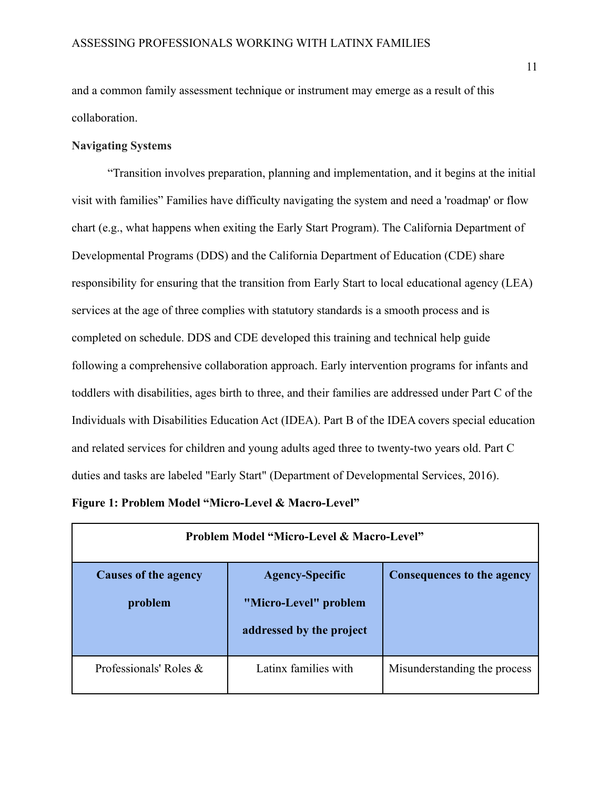and a common family assessment technique or instrument may emerge as a result of this collaboration.

## <span id="page-11-0"></span>**Navigating Systems**

"Transition involves preparation, planning and implementation, and it begins at the initial visit with families" Families have difficulty navigating the system and need a 'roadmap' or flow chart (e.g., what happens when exiting the Early Start Program). The California Department of Developmental Programs (DDS) and the California Department of Education (CDE) share responsibility for ensuring that the transition from Early Start to local educational agency (LEA) services at the age of three complies with statutory standards is a smooth process and is completed on schedule. DDS and CDE developed this training and technical help guide following a comprehensive collaboration approach. Early intervention programs for infants and toddlers with disabilities, ages birth to three, and their families are addressed under Part C of the Individuals with Disabilities Education Act (IDEA). Part B of the IDEA covers special education and related services for children and young adults aged three to twenty-two years old. Part C duties and tasks are labeled "Early Start" (Department of Developmental Services, 2016).

<span id="page-11-1"></span>

|  | Figure 1: Problem Model "Micro-Level & Macro-Level" |  |  |  |
|--|-----------------------------------------------------|--|--|--|
|  |                                                     |  |  |  |

| Problem Model "Micro-Level & Macro-Level" |                                                                             |                                   |  |  |
|-------------------------------------------|-----------------------------------------------------------------------------|-----------------------------------|--|--|
| Causes of the agency<br>problem           | <b>Agency-Specific</b><br>"Micro-Level" problem<br>addressed by the project | <b>Consequences to the agency</b> |  |  |
| Professionals' Roles &                    | Latinx families with                                                        | Misunderstanding the process      |  |  |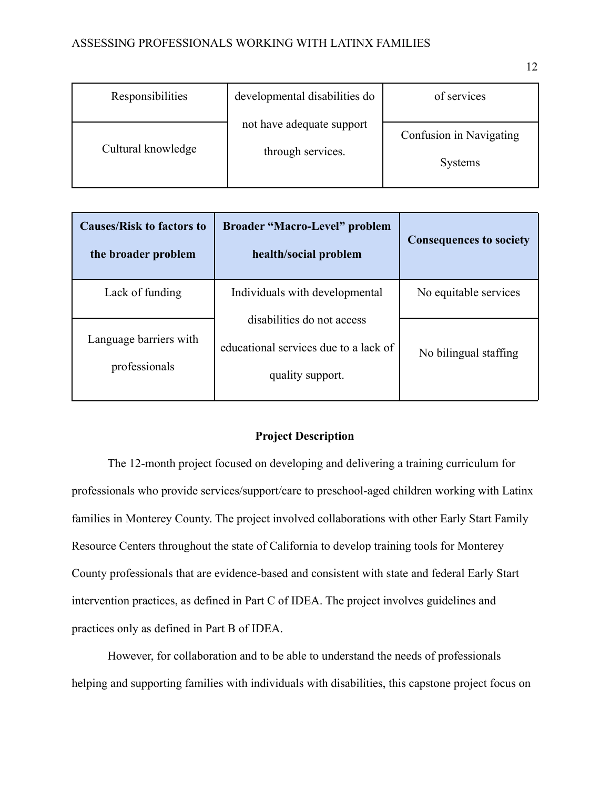| Responsibilities   | developmental disabilities do                  | of services                               |
|--------------------|------------------------------------------------|-------------------------------------------|
| Cultural knowledge | not have adequate support<br>through services. | Confusion in Navigating<br><b>Systems</b> |

| <b>Causes/Risk to factors to</b><br>the broader problem | <b>Broader "Macro-Level" problem</b><br>health/social problem                           | <b>Consequences to society</b> |
|---------------------------------------------------------|-----------------------------------------------------------------------------------------|--------------------------------|
| Lack of funding                                         | Individuals with developmental                                                          | No equitable services          |
| Language barriers with<br>professionals                 | disabilities do not access<br>educational services due to a lack of<br>quality support. | No bilingual staffing          |

## **Project Description**

<span id="page-12-0"></span>The 12-month project focused on developing and delivering a training curriculum for professionals who provide services/support/care to preschool-aged children working with Latinx families in Monterey County. The project involved collaborations with other Early Start Family Resource Centers throughout the state of California to develop training tools for Monterey County professionals that are evidence-based and consistent with state and federal Early Start intervention practices, as defined in Part C of IDEA. The project involves guidelines and practices only as defined in Part B of IDEA.

However, for collaboration and to be able to understand the needs of professionals helping and supporting families with individuals with disabilities, this capstone project focus on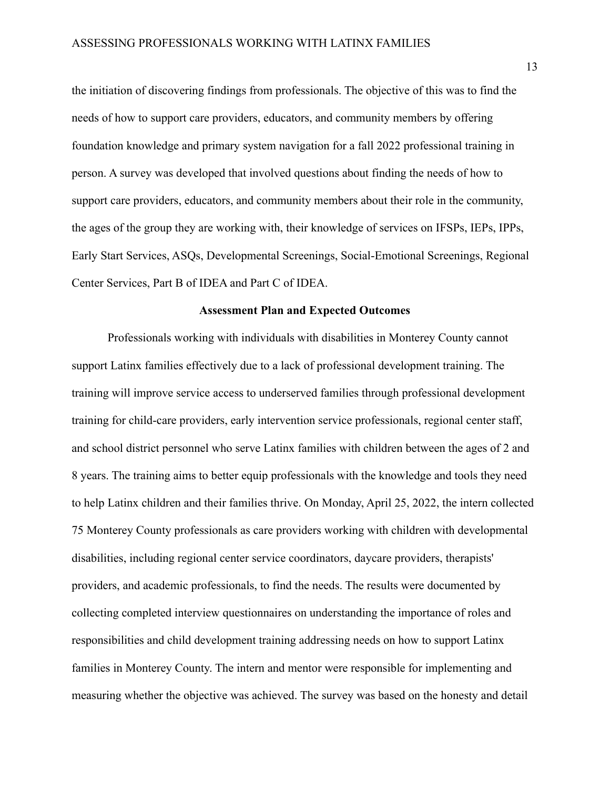the initiation of discovering findings from professionals. The objective of this was to find the needs of how to support care providers, educators, and community members by offering foundation knowledge and primary system navigation for a fall 2022 professional training in person. A survey was developed that involved questions about finding the needs of how to support care providers, educators, and community members about their role in the community, the ages of the group they are working with, their knowledge of services on IFSPs, IEPs, IPPs, Early Start Services, ASQs, Developmental Screenings, Social-Emotional Screenings, Regional Center Services, Part B of IDEA and Part C of IDEA.

#### **Assessment Plan and Expected Outcomes**

<span id="page-13-0"></span>Professionals working with individuals with disabilities in Monterey County cannot support Latinx families effectively due to a lack of professional development training. The training will improve service access to underserved families through professional development training for child-care providers, early intervention service professionals, regional center staff, and school district personnel who serve Latinx families with children between the ages of 2 and 8 years. The training aims to better equip professionals with the knowledge and tools they need to help Latinx children and their families thrive. On Monday, April 25, 2022, the intern collected 75 Monterey County professionals as care providers working with children with developmental disabilities, including regional center service coordinators, daycare providers, therapists' providers, and academic professionals, to find the needs. The results were documented by collecting completed interview questionnaires on understanding the importance of roles and responsibilities and child development training addressing needs on how to support Latinx families in Monterey County. The intern and mentor were responsible for implementing and measuring whether the objective was achieved. The survey was based on the honesty and detail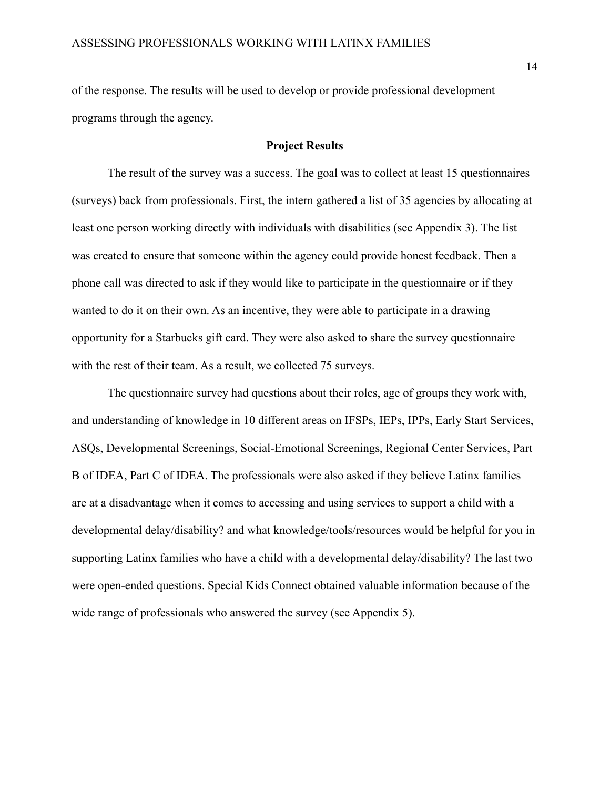of the response. The results will be used to develop or provide professional development programs through the agency.

### **Project Results**

<span id="page-14-0"></span>The result of the survey was a success. The goal was to collect at least 15 questionnaires (surveys) back from professionals. First, the intern gathered a list of 35 agencies by allocating at least one person working directly with individuals with disabilities (see Appendix 3). The list was created to ensure that someone within the agency could provide honest feedback. Then a phone call was directed to ask if they would like to participate in the questionnaire or if they wanted to do it on their own. As an incentive, they were able to participate in a drawing opportunity for a Starbucks gift card. They were also asked to share the survey questionnaire with the rest of their team. As a result, we collected 75 surveys.

The questionnaire survey had questions about their roles, age of groups they work with, and understanding of knowledge in 10 different areas on IFSPs, IEPs, IPPs, Early Start Services, ASQs, Developmental Screenings, Social-Emotional Screenings, Regional Center Services, Part B of IDEA, Part C of IDEA. The professionals were also asked if they believe Latinx families are at a disadvantage when it comes to accessing and using services to support a child with a developmental delay/disability? and what knowledge/tools/resources would be helpful for you in supporting Latinx families who have a child with a developmental delay/disability? The last two were open-ended questions. Special Kids Connect obtained valuable information because of the wide range of professionals who answered the survey (see Appendix 5).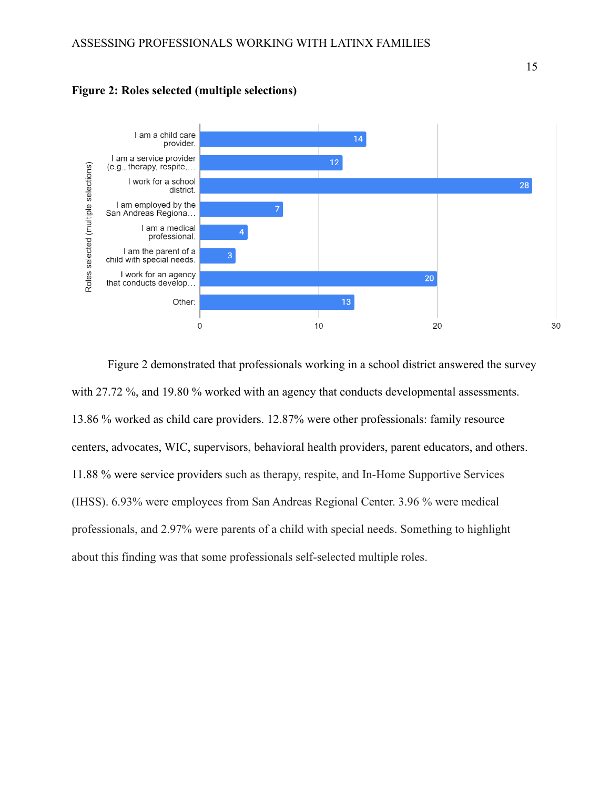

<span id="page-15-0"></span>**Figure 2: Roles selected (multiple selections)**

Figure 2 demonstrated that professionals working in a school district answered the survey with 27.72 %, and 19.80 % worked with an agency that conducts developmental assessments. 13.86 % worked as child care providers. 12.87% were other professionals: family resource centers, advocates, WIC, supervisors, behavioral health providers, parent educators, and others. 11.88 % were service providers such as therapy, respite, and In-Home Supportive Services (IHSS). 6.93% were employees from San Andreas Regional Center. 3.96 % were medical professionals, and 2.97% were parents of a child with special needs. Something to highlight about this finding was that some professionals self-selected multiple roles.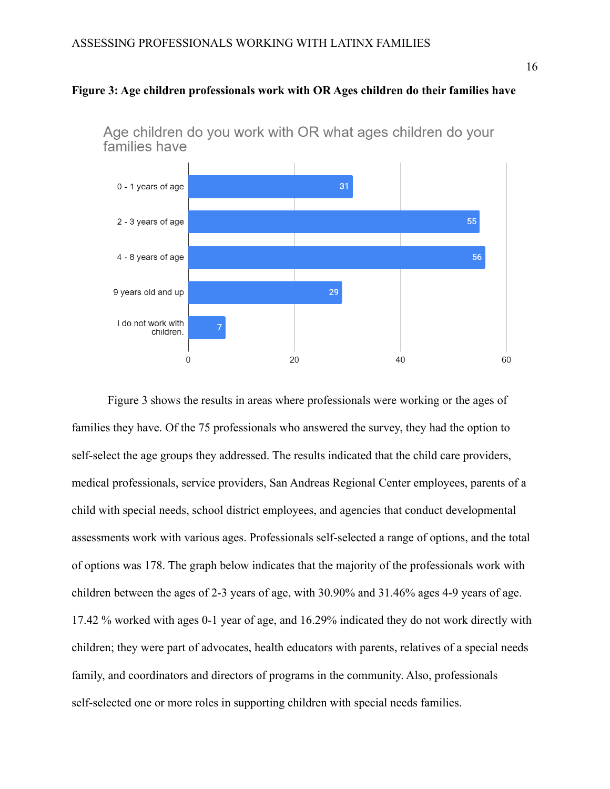## <span id="page-16-0"></span>**Figure 3: Age children professionals work with OR Ages children do their families have**



Age children do you work with OR what ages children do your families have

Figure 3 shows the results in areas where professionals were working or the ages of families they have. Of the 75 professionals who answered the survey, they had the option to self-select the age groups they addressed. The results indicated that the child care providers, medical professionals, service providers, San Andreas Regional Center employees, parents of a child with special needs, school district employees, and agencies that conduct developmental assessments work with various ages. Professionals self-selected a range of options, and the total of options was 178. The graph below indicates that the majority of the professionals work with children between the ages of 2-3 years of age, with 30.90% and 31.46% ages 4-9 years of age. 17.42 % worked with ages 0-1 year of age, and 16.29% indicated they do not work directly with children; they were part of advocates, health educators with parents, relatives of a special needs family, and coordinators and directors of programs in the community. Also, professionals self-selected one or more roles in supporting children with special needs families.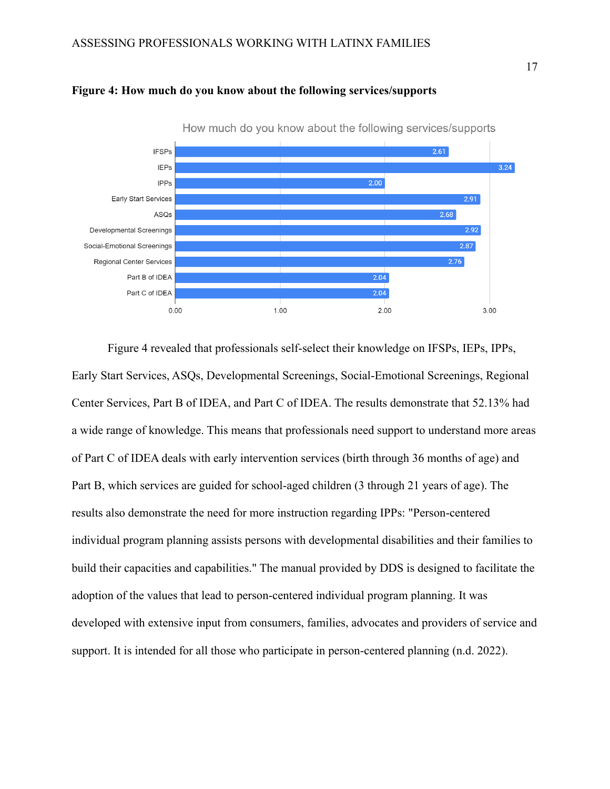

<span id="page-17-0"></span>

Figure 4 revealed that professionals self-select their knowledge on IFSPs, IEPs, IPPs, Early Start Services, ASQs, Developmental Screenings, Social-Emotional Screenings, Regional Center Services, Part B of IDEA, and Part C of IDEA. The results demonstrate that 52.13% had a wide range of knowledge. This means that professionals need support to understand more areas of Part C of IDEA deals with early intervention services (birth through 36 months of age) and Part B, which services are guided for school-aged children (3 through 21 years of age). The results also demonstrate the need for more instruction regarding IPPs: "Person-centered individual program planning assists persons with developmental disabilities and their families to build their capacities and capabilities." The manual provided by DDS is designed to facilitate the adoption of the values that lead to person-centered individual program planning. It was developed with extensive input from consumers, families, advocates and providers of service and support. It is intended for all those who participate in person-centered planning (n.d. 2022).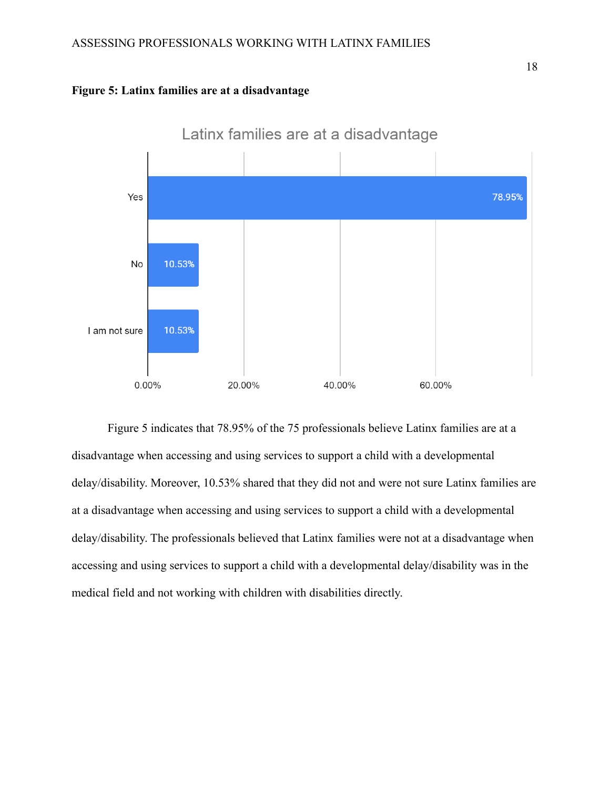<span id="page-18-0"></span>



Figure 5 indicates that 78.95% of the 75 professionals believe Latinx families are at a disadvantage when accessing and using services to support a child with a developmental delay/disability. Moreover, 10.53% shared that they did not and were not sure Latinx families are at a disadvantage when accessing and using services to support a child with a developmental delay/disability. The professionals believed that Latinx families were not at a disadvantage when accessing and using services to support a child with a developmental delay/disability was in the medical field and not working with children with disabilities directly.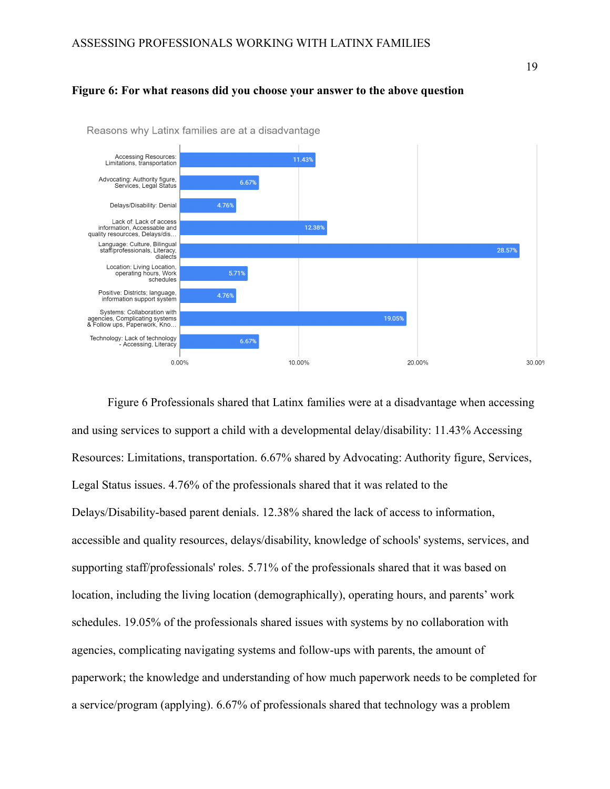#### <span id="page-19-0"></span>**Figure 6: For what reasons did you choose your answer to the above question**



Reasons why Latinx families are at a disadvantage

Figure 6 Professionals shared that Latinx families were at a disadvantage when accessing and using services to support a child with a developmental delay/disability: 11.43% Accessing Resources: Limitations, transportation. 6.67% shared by Advocating: Authority figure, Services, Legal Status issues. 4.76% of the professionals shared that it was related to the Delays/Disability-based parent denials. 12.38% shared the lack of access to information, accessible and quality resources, delays/disability, knowledge of schools' systems, services, and supporting staff/professionals' roles. 5.71% of the professionals shared that it was based on location, including the living location (demographically), operating hours, and parents' work schedules. 19.05% of the professionals shared issues with systems by no collaboration with agencies, complicating navigating systems and follow-ups with parents, the amount of paperwork; the knowledge and understanding of how much paperwork needs to be completed for a service/program (applying). 6.67% of professionals shared that technology was a problem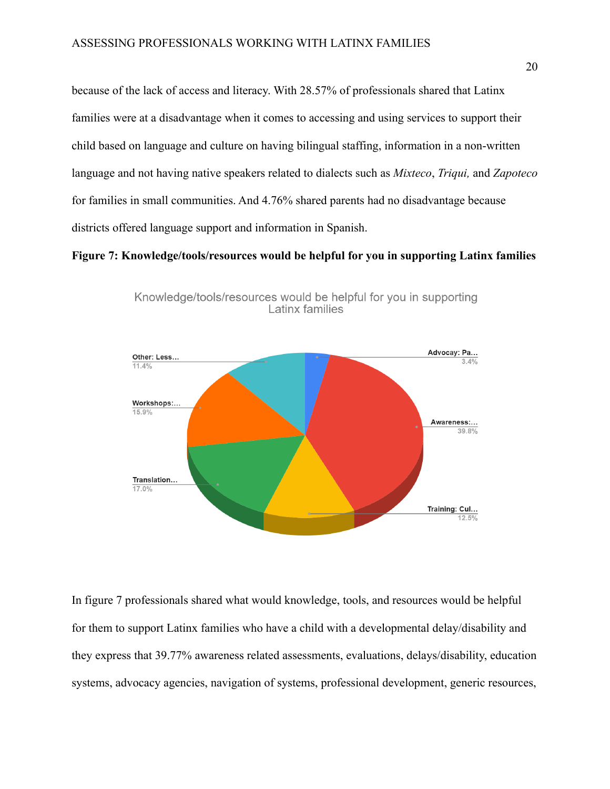because of the lack of access and literacy. With 28.57% of professionals shared that Latinx families were at a disadvantage when it comes to accessing and using services to support their child based on language and culture on having bilingual staffing, information in a non-written language and not having native speakers related to dialects such as *Mixteco*, *Triqui,* and *Zapoteco* for families in small communities. And 4.76% shared parents had no disadvantage because districts offered language support and information in Spanish.

### <span id="page-20-0"></span>**Figure 7: Knowledge/tools/resources would be helpful for you in supporting Latinx families**



Knowledge/tools/resources would be helpful for you in supporting Latinx families

In figure 7 professionals shared what would knowledge, tools, and resources would be helpful for them to support Latinx families who have a child with a developmental delay/disability and they express that 39.77% awareness related assessments, evaluations, delays/disability, education systems, advocacy agencies, navigation of systems, professional development, generic resources,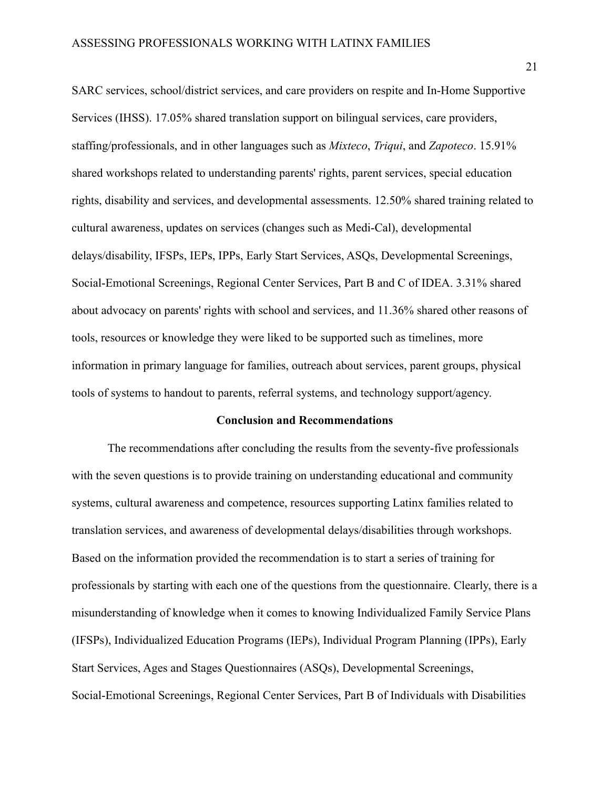SARC services, school/district services, and care providers on respite and In-Home Supportive Services (IHSS). 17.05% shared translation support on bilingual services, care providers, staffing/professionals, and in other languages such as *Mixteco*, *Triqui*, and *Zapoteco*. 15.91% shared workshops related to understanding parents' rights, parent services, special education rights, disability and services, and developmental assessments. 12.50% shared training related to cultural awareness, updates on services (changes such as Medi-Cal), developmental delays/disability, IFSPs, IEPs, IPPs, Early Start Services, ASQs, Developmental Screenings, Social-Emotional Screenings, Regional Center Services, Part B and C of IDEA. 3.31% shared about advocacy on parents' rights with school and services, and 11.36% shared other reasons of tools, resources or knowledge they were liked to be supported such as timelines, more information in primary language for families, outreach about services, parent groups, physical tools of systems to handout to parents, referral systems, and technology support/agency.

#### **Conclusion and Recommendations**

<span id="page-21-0"></span>The recommendations after concluding the results from the seventy-five professionals with the seven questions is to provide training on understanding educational and community systems, cultural awareness and competence, resources supporting Latinx families related to translation services, and awareness of developmental delays/disabilities through workshops. Based on the information provided the recommendation is to start a series of training for professionals by starting with each one of the questions from the questionnaire. Clearly, there is a misunderstanding of knowledge when it comes to knowing Individualized Family Service Plans (IFSPs), Individualized Education Programs (IEPs), Individual Program Planning (IPPs), Early Start Services, Ages and Stages Questionnaires (ASQs), Developmental Screenings, Social-Emotional Screenings, Regional Center Services, Part B of Individuals with Disabilities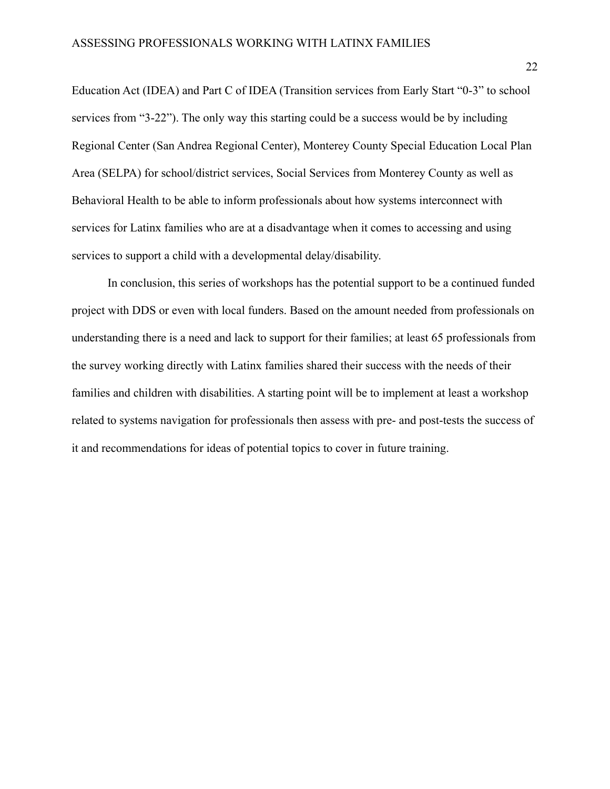Education Act (IDEA) and Part C of IDEA (Transition services from Early Start "0-3" to school services from "3-22"). The only way this starting could be a success would be by including Regional Center (San Andrea Regional Center), Monterey County Special Education Local Plan Area (SELPA) for school/district services, Social Services from Monterey County as well as Behavioral Health to be able to inform professionals about how systems interconnect with services for Latinx families who are at a disadvantage when it comes to accessing and using services to support a child with a developmental delay/disability.

In conclusion, this series of workshops has the potential support to be a continued funded project with DDS or even with local funders. Based on the amount needed from professionals on understanding there is a need and lack to support for their families; at least 65 professionals from the survey working directly with Latinx families shared their success with the needs of their families and children with disabilities. A starting point will be to implement at least a workshop related to systems navigation for professionals then assess with pre- and post-tests the success of it and recommendations for ideas of potential topics to cover in future training.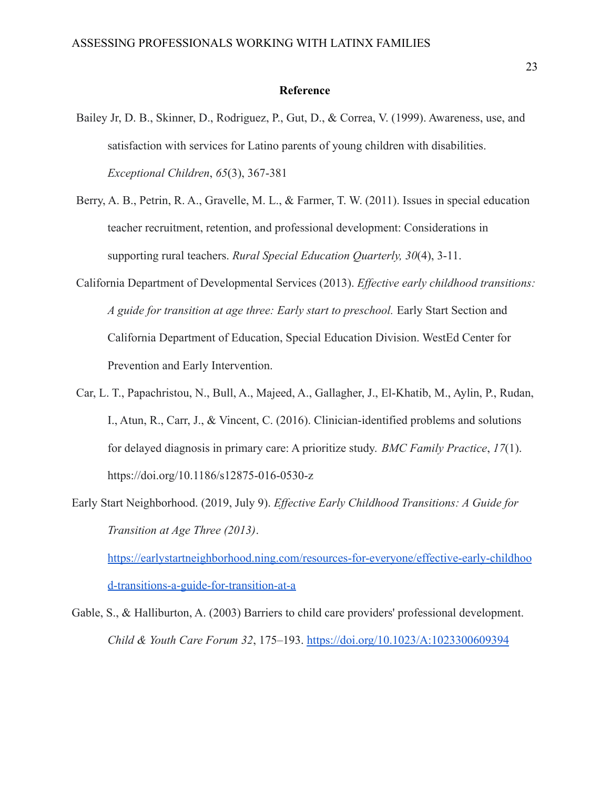### **Reference**

- <span id="page-23-0"></span>Bailey Jr, D. B., Skinner, D., Rodriguez, P., Gut, D., & Correa, V. (1999). Awareness, use, and satisfaction with services for Latino parents of young children with disabilities. *Exceptional Children*, *65*(3), 367-381
- Berry, A. B., Petrin, R. A., Gravelle, M. L., & Farmer, T. W. (2011). Issues in special education teacher recruitment, retention, and professional development: Considerations in supporting rural teachers. *Rural Special Education Quarterly, 30*(4), 3-11.
- California Department of Developmental Services (2013). *Effective early childhood transitions: A guide for transition at age three: Early start to preschool.* Early Start Section and California Department of Education, Special Education Division. WestEd Center for Prevention and Early Intervention.
- Car, L. T., Papachristou, N., Bull, A., Majeed, A., Gallagher, J., El-Khatib, M., Aylin, P., Rudan, I., Atun, R., Carr, J., & Vincent, C. (2016). Clinician-identified problems and solutions for delayed diagnosis in primary care: A prioritize study. *BMC Family Practice*, *17*(1). https://doi.org/10.1186/s12875-016-0530-z
- Early Start Neighborhood. (2019, July 9). *Effective Early Childhood Transitions: A Guide for Transition at Age Three (2013)*.

[https://earlystartneighborhood.ning.com/resources-for-everyone/effective-early-childhoo](https://earlystartneighborhood.ning.com/resources-for-everyone/effective-early-childhood-transitions-a-guide-for-transition-at-a) [d-transitions-a-guide-for-transition-at-a](https://earlystartneighborhood.ning.com/resources-for-everyone/effective-early-childhood-transitions-a-guide-for-transition-at-a)

Gable, S., & Halliburton, A. (2003) Barriers to child care providers' professional development. *Child & Youth Care Forum 32*, 175–193. <https://doi.org/10.1023/A:1023300609394>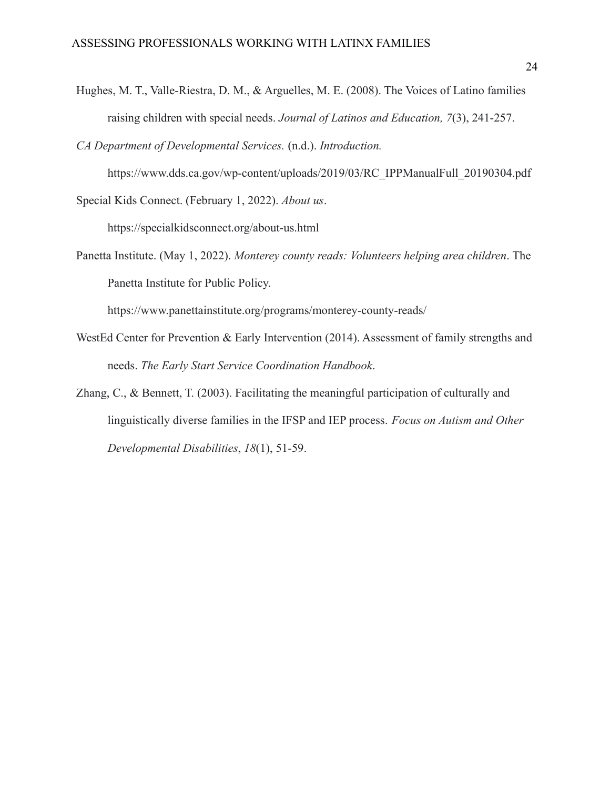Hughes, M. T., Valle-Riestra, D. M., & Arguelles, M. E. (2008). The Voices of Latino families raising children with special needs. *Journal of Latinos and Education, 7*(3), 241-257.

*CA Department of Developmental Services.* (n.d.). *Introduction.*

https://www.dds.ca.gov/wp-content/uploads/2019/03/RC\_IPPManualFull\_20190304.pdf Special Kids Connect. (February 1, 2022). *About us*.

https://specialkidsconnect.org/about-us.html

Panetta Institute. (May 1, 2022). *Monterey county reads: Volunteers helping area children*. The Panetta Institute for Public Policy.

https://www.panettainstitute.org/programs/monterey-county-reads/

- WestEd Center for Prevention & Early Intervention (2014). Assessment of family strengths and needs. *The Early Start Service Coordination Handbook*.
- Zhang, C., & Bennett, T. (2003). Facilitating the meaningful participation of culturally and linguistically diverse families in the IFSP and IEP process. *Focus on Autism and Other Developmental Disabilities*, *18*(1), 51-59.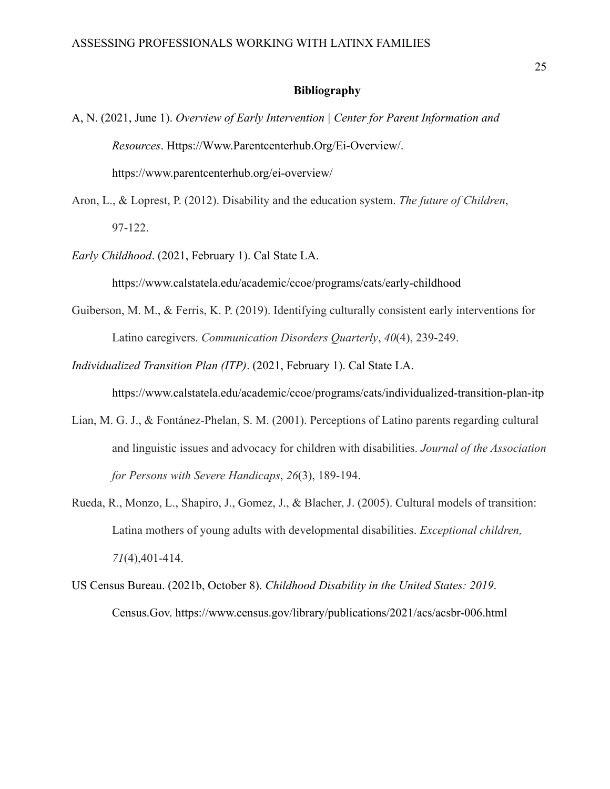#### **Bibliography**

- <span id="page-25-0"></span>A, N. (2021, June 1). *Overview of Early Intervention | Center for Parent Information and Resources*. Https://Www.Parentcenterhub.Org/Ei-Overview/. https://www.parentcenterhub.org/ei-overview/
- Aron, L., & Loprest, P. (2012). Disability and the education system. *The future of Children*, 97-122.
- *Early Childhood*. (2021, February 1). Cal State LA.

https://www.calstatela.edu/academic/ccoe/programs/cats/early-childhood

Guiberson, M. M., & Ferris, K. P. (2019). Identifying culturally consistent early interventions for Latino caregivers. *Communication Disorders Quarterly*, *40*(4), 239-249.

*Individualized Transition Plan (ITP)*. (2021, February 1). Cal State LA.

https://www.calstatela.edu/academic/ccoe/programs/cats/individualized-transition-plan-itp

- Lian, M. G. J., & Fontánez-Phelan, S. M. (2001). Perceptions of Latino parents regarding cultural and linguistic issues and advocacy for children with disabilities. *Journal of the Association for Persons with Severe Handicaps*, *26*(3), 189-194.
- Rueda, R., Monzo, L., Shapiro, J., Gomez, J., & Blacher, J. (2005). Cultural models of transition: Latina mothers of young adults with developmental disabilities. *Exceptional children, 71*(4),401-414.
- US Census Bureau. (2021b, October 8). *Childhood Disability in the United States: 2019*. Census.Gov. https://www.census.gov/library/publications/2021/acs/acsbr-006.html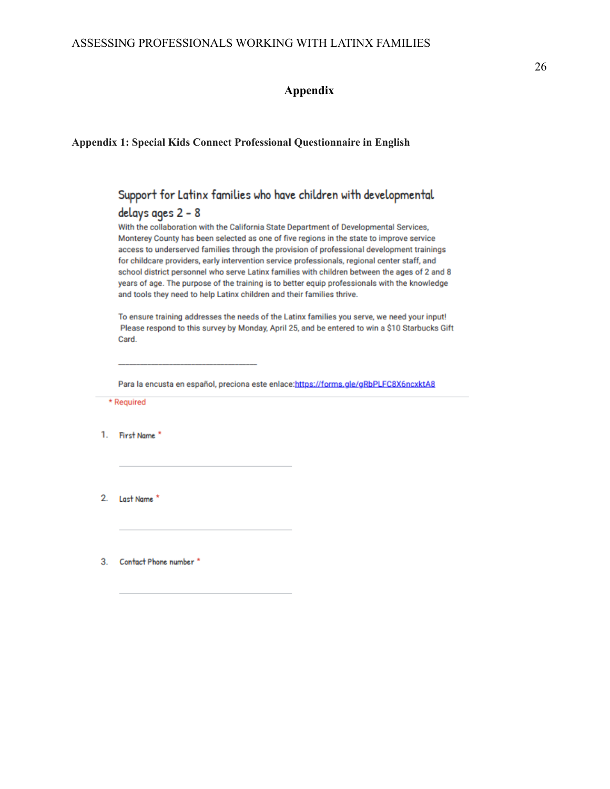## **Appendix**

## <span id="page-26-1"></span><span id="page-26-0"></span>**Appendix 1: Special Kids Connect Professional Questionnaire in English**

## Support for Latinx families who have children with developmental delays ages 2 - 8

With the collaboration with the California State Department of Developmental Services, Monterey County has been selected as one of five regions in the state to improve service access to underserved families through the provision of professional development trainings for childcare providers, early intervention service professionals, regional center staff, and school district personnel who serve Latinx families with children between the ages of 2 and 8 years of age. The purpose of the training is to better equip professionals with the knowledge and tools they need to help Latinx children and their families thrive.

To ensure training addresses the needs of the Latinx families you serve, we need your input! Please respond to this survey by Monday, April 25, and be entered to win a \$10 Starbucks Gift Card.

Para la encusta en español, preciona este enlace:https://forms.gle/gRbPLFC8X6ncxktA8

\* Required

1. First Name

 $2.$ Last Name<sup>\*</sup>

Contact Phone number \* 3.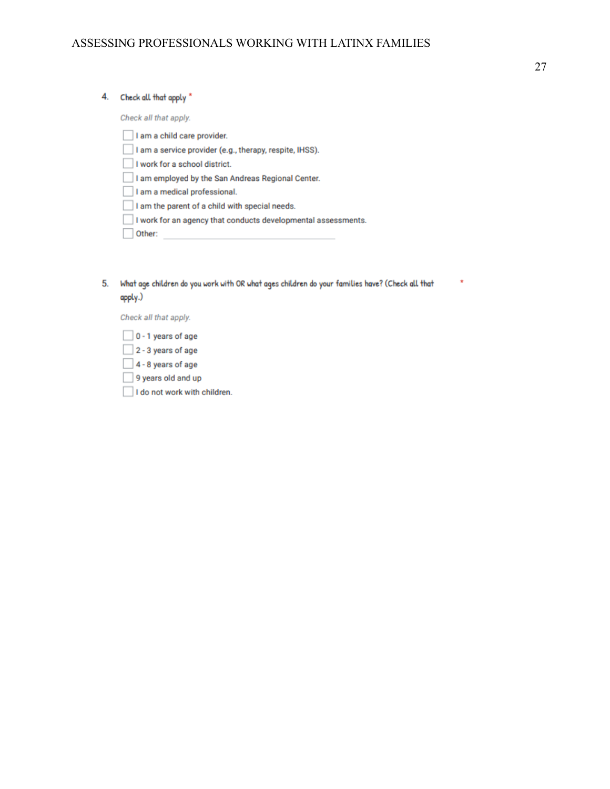#### 4. Check all that apply \*

Check all that apply.

I am a child care provider. I am a service provider (e.g., therapy, respite, IHSS). I work for a school district. I am employed by the San Andreas Regional Center. I am a medical professional. I am the parent of a child with special needs. I work for an agency that conducts developmental assessments.  $\Box$  Other:

5. What age children do you work with OR what ages children do your families have? (Check all that apply.)

Check all that apply.

- $\Box$  0 1 years of age  $2 - 3$  years of age
- $\Box$  4 8 years of age
- 9 years old and up
- I do not work with children.

ź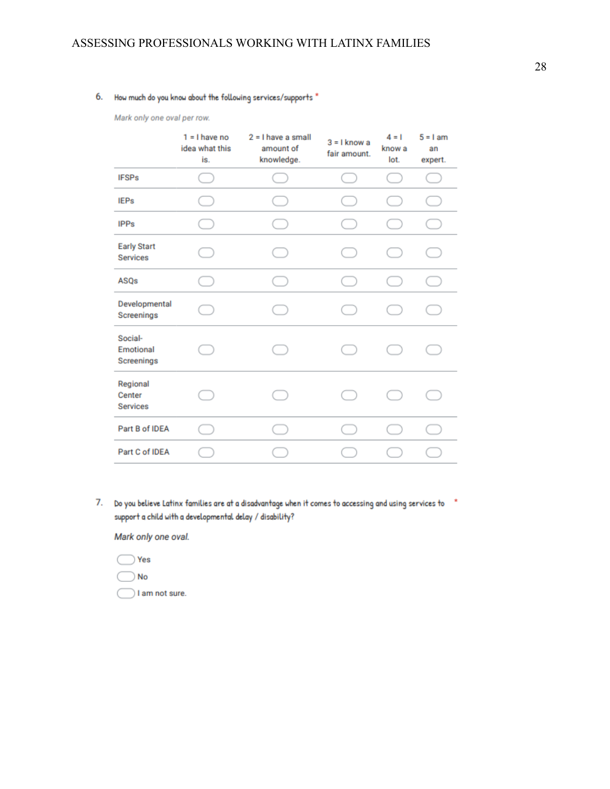## 6. How much do you know about the following services/supports \*

Mark only one oval per row.

|                                       | $1 = 1$ have no<br>idea what this<br>is. | $2 = 1$ have a small<br>amount of<br>knowledge. | $3 = 1$ know a<br>fair amount. | $4 = 1$<br>know a<br>lot. | $5 = 1$ am<br>an<br>expert. |
|---------------------------------------|------------------------------------------|-------------------------------------------------|--------------------------------|---------------------------|-----------------------------|
| <b>IFSPs</b>                          |                                          |                                                 |                                |                           |                             |
| <b>IEPs</b>                           |                                          |                                                 |                                |                           |                             |
| <b>IPPs</b>                           |                                          |                                                 |                                |                           |                             |
| <b>Early Start</b><br><b>Services</b> | and the                                  | $\sim$                                          |                                | in a                      |                             |
| ASQs                                  |                                          |                                                 |                                |                           |                             |
| Developmental<br>Screenings           |                                          |                                                 |                                |                           |                             |
| Social-<br>Emotional<br>Screenings    |                                          |                                                 |                                |                           |                             |
| Regional<br>Center<br><b>Services</b> |                                          | n.                                              |                                | the contract of           |                             |
| Part B of IDEA                        |                                          |                                                 |                                |                           |                             |
| Part C of IDEA                        |                                          |                                                 |                                |                           |                             |
|                                       |                                          |                                                 |                                |                           |                             |

7. Do you believe Latinx families are at a disadvantage when it comes to accessing and using services to \* support a child with a developmental delay / disability?

Mark only one oval.

- $\bigcirc$  Yes
- $\neg$  No

I am not sure.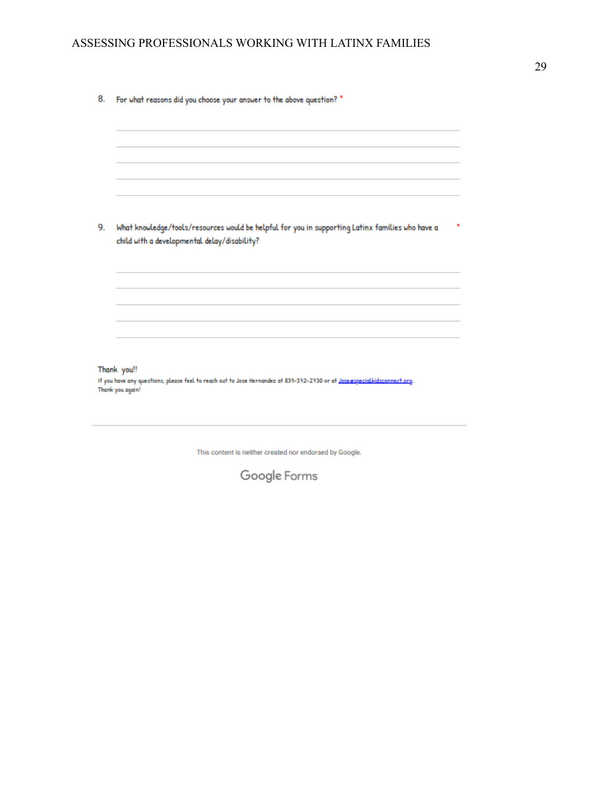| 9.               | What knowledge/tools/resources would be helpful for you in supporting Latinx families who have a<br>child with a developmental delay/disability? |
|------------------|--------------------------------------------------------------------------------------------------------------------------------------------------|
|                  |                                                                                                                                                  |
| Thank you again! | Thank you!!<br>If you have any questions, please feel to reach out to Jose Hernandez at 831-372-2730 or at Jose@specialkidsconnect.org.          |

This content is neither created nor endorsed by Google.

Google Forms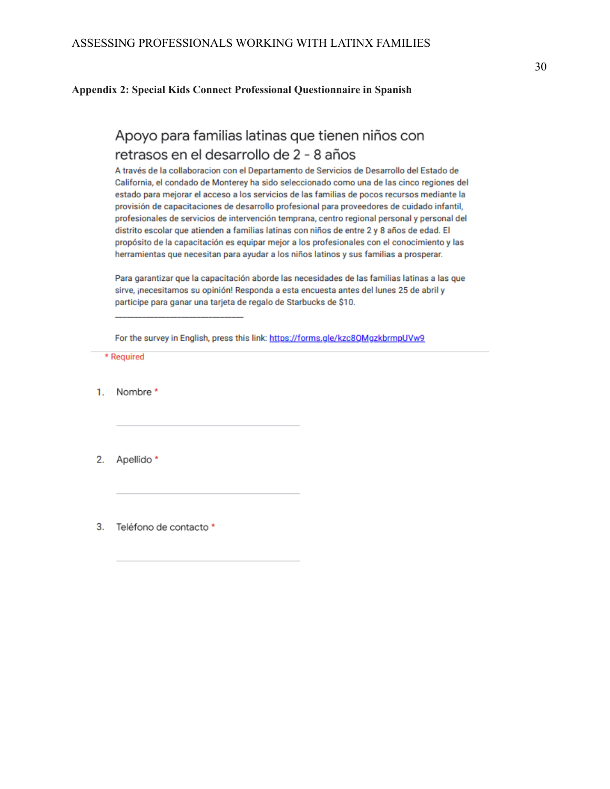<span id="page-30-0"></span>**Appendix 2: Special Kids Connect Professional Questionnaire in Spanish**

# Apoyo para familias latinas que tienen niños con retrasos en el desarrollo de 2 - 8 años

A través de la collaboracion con el Departamento de Servicios de Desarrollo del Estado de California, el condado de Monterey ha sido seleccionado como una de las cinco regiones del estado para mejorar el acceso a los servicios de las familias de pocos recursos mediante la provisión de capacitaciones de desarrollo profesional para proveedores de cuidado infantil, profesionales de servicios de intervención temprana, centro regional personal y personal del distrito escolar que atienden a familias latinas con niños de entre 2 y 8 años de edad. El propósito de la capacitación es equipar mejor a los profesionales con el conocimiento y las herramientas que necesitan para ayudar a los niños latinos y sus familias a prosperar.

Para garantizar que la capacitación aborde las necesidades de las familias latinas a las que sirve, ¡necesitamos su opinión! Responda a esta encuesta antes del lunes 25 de abril y participe para ganar una tarjeta de regalo de Starbucks de \$10.

For the survey in English, press this link: https://forms.gle/kzc8QMgzkbrmpUVw9

\* Required

Nombre \* 1.

2. Apellido<sup>\*</sup>

Teléfono de contacto \* 3.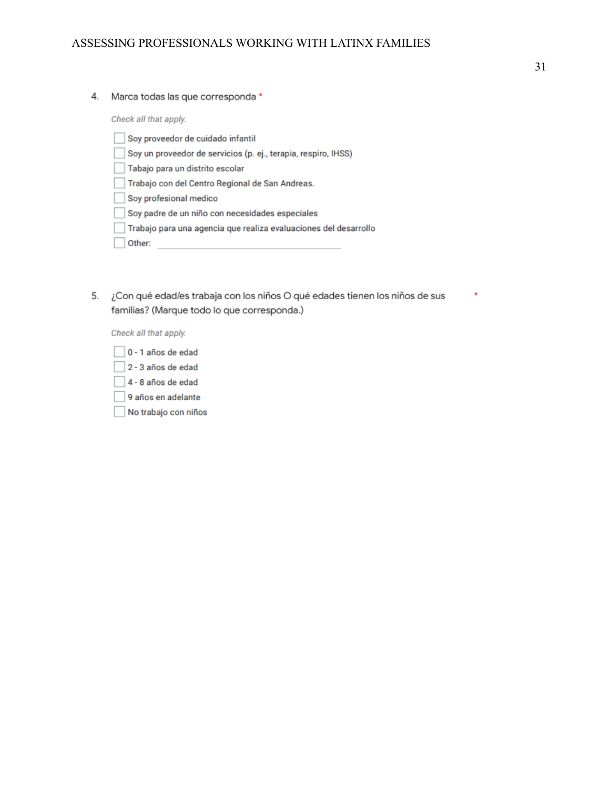4. Marca todas las que corresponda \*

Check all that apply.

| Soy proveedor de cuidado infantil                                |
|------------------------------------------------------------------|
| Soy un proveedor de servicios (p. ej., terapia, respiro, IHSS)   |
| Tabajo para un distrito escolar                                  |
| Trabajo con del Centro Regional de San Andreas.                  |
| Soy profesional medico                                           |
| Soy padre de un niño con necesidades especiales                  |
| Trabajo para una agencia que realiza evaluaciones del desarrollo |
| Other:                                                           |
|                                                                  |

5. ¿Con qué edad/es trabaja con los niños O qué edades tienen los niños de sus familias? (Marque todo lo que corresponda.)

Check all that apply.

- 0 1 años de edad
- 2 3 años de edad
- 4 8 años de edad
- 9 años en adelante
- No trabajo con niños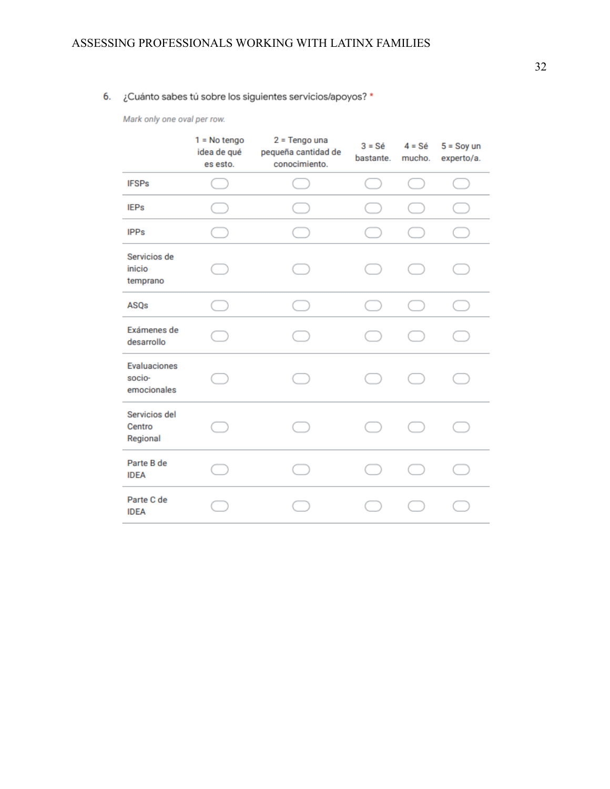## 6. ¿Cuánto sabes tú sobre los siguientes servicios/apoyos? \*

Mark only one oval per row.

|                                              | $1 = No$ tengo<br>idea de qué<br>es esto. | $2 = Tengo$ una<br>pequeña cantidad de<br>conocimiento. | $3 = Sé$<br>bastante. | $4 = S\acute{e}$<br>mucho. | $5 =$ Soy un<br>experto/a. |
|----------------------------------------------|-------------------------------------------|---------------------------------------------------------|-----------------------|----------------------------|----------------------------|
| <b>IFSPs</b>                                 |                                           |                                                         | n a                   |                            |                            |
| <b>IEPs</b>                                  |                                           |                                                         |                       |                            |                            |
| <b>IPPs</b>                                  |                                           |                                                         |                       |                            |                            |
| Servicios de<br>inicio<br>temprano           |                                           |                                                         |                       |                            |                            |
| ASQs                                         |                                           |                                                         |                       |                            |                            |
| Exámenes de<br>desarrollo                    |                                           |                                                         |                       |                            |                            |
| <b>Evaluaciones</b><br>socio-<br>emocionales |                                           |                                                         |                       |                            |                            |
| Servicios del<br>Centro<br>Regional          |                                           |                                                         |                       |                            |                            |
| Parte B de<br><b>IDEA</b>                    |                                           |                                                         |                       |                            |                            |
| Parte C de<br><b>IDEA</b>                    |                                           |                                                         |                       |                            |                            |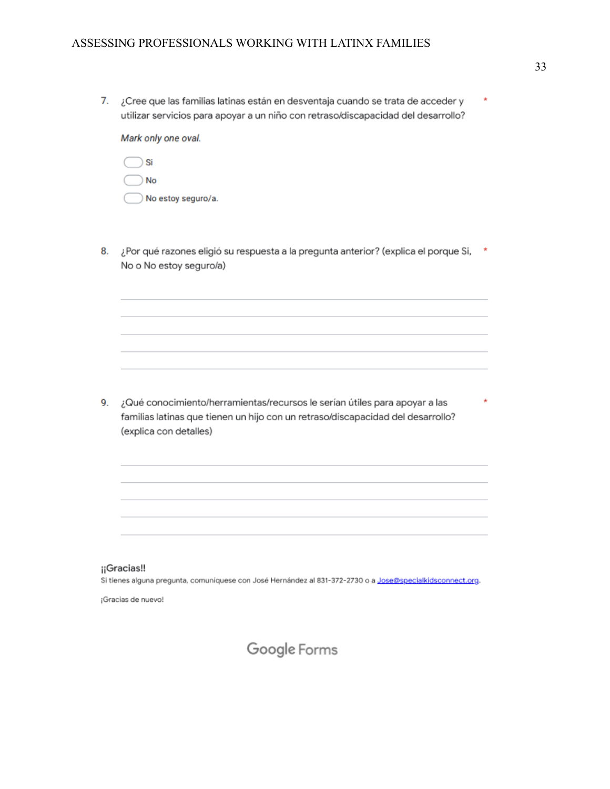7. ¿Cree que las familias latinas están en desventaja cuando se trata de acceder y × utilizar servicios para apoyar a un niño con retraso/discapacidad del desarrollo?

Mark only one oval.

| <b>No</b>          |
|--------------------|
| No estoy seguro/a. |

¿Por qué razones eligió su respuesta a la pregunta anterior? (explica el porque Si, \* 8. No o No estoy seguro/a)

9. ¿Qué conocimiento/herramientas/recursos le serían útiles para apoyar a las familias latinas que tienen un hijo con un retraso/discapacidad del desarrollo? (explica con detalles)

#### ¡¡Gracias‼

Si tienes alguna pregunta, comuniquese con José Hernández al 831-372-2730 o a Jose@specialkidsconnect.org.

¡Gracias de nuevo!

Ň

Google Forms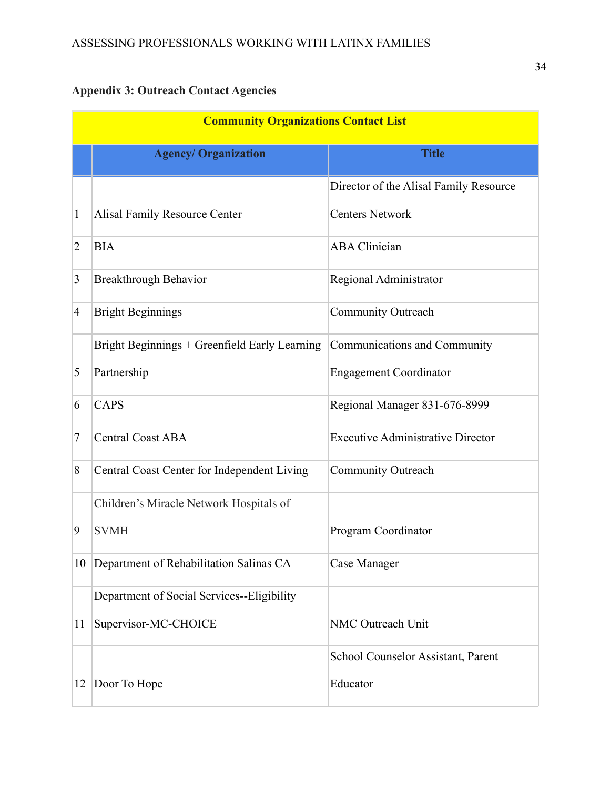# <span id="page-34-0"></span>**Appendix 3: Outreach Contact Agencies**

|                | <b>Community Organizations Contact List</b>   |                                          |  |  |  |  |  |
|----------------|-----------------------------------------------|------------------------------------------|--|--|--|--|--|
|                | <b>Agency/ Organization</b>                   | <b>Title</b>                             |  |  |  |  |  |
|                |                                               | Director of the Alisal Family Resource   |  |  |  |  |  |
| 1              | <b>Alisal Family Resource Center</b>          | <b>Centers Network</b>                   |  |  |  |  |  |
| $\overline{2}$ | <b>BIA</b>                                    | <b>ABA Clinician</b>                     |  |  |  |  |  |
| 3              | <b>Breakthrough Behavior</b>                  | Regional Administrator                   |  |  |  |  |  |
| 4              | <b>Bright Beginnings</b>                      | <b>Community Outreach</b>                |  |  |  |  |  |
|                | Bright Beginnings + Greenfield Early Learning | Communications and Community             |  |  |  |  |  |
| 5              | Partnership                                   | <b>Engagement Coordinator</b>            |  |  |  |  |  |
| 6              | <b>CAPS</b>                                   | Regional Manager 831-676-8999            |  |  |  |  |  |
| 7              | <b>Central Coast ABA</b>                      | <b>Executive Administrative Director</b> |  |  |  |  |  |
| 8              | Central Coast Center for Independent Living   | Community Outreach                       |  |  |  |  |  |
|                | Children's Miracle Network Hospitals of       |                                          |  |  |  |  |  |
| 9              | <b>SVMH</b>                                   | Program Coordinator                      |  |  |  |  |  |
| 10             | Department of Rehabilitation Salinas CA       | Case Manager                             |  |  |  |  |  |
|                | Department of Social Services--Eligibility    |                                          |  |  |  |  |  |
| 11             | Supervisor-MC-CHOICE                          | NMC Outreach Unit                        |  |  |  |  |  |
|                |                                               | School Counselor Assistant, Parent       |  |  |  |  |  |
| 12             | Door To Hope                                  | Educator                                 |  |  |  |  |  |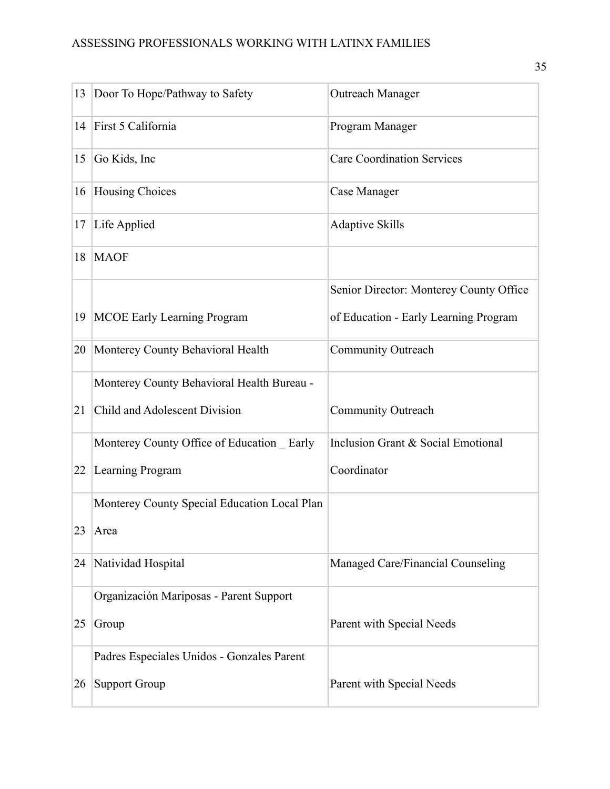| 13 | Door To Hope/Pathway to Safety               | Outreach Manager                        |
|----|----------------------------------------------|-----------------------------------------|
| 14 | First 5 California                           | Program Manager                         |
| 15 | Go Kids, Inc                                 | <b>Care Coordination Services</b>       |
| 16 | Housing Choices                              | Case Manager                            |
| 17 | Life Applied                                 | <b>Adaptive Skills</b>                  |
| 18 | <b>MAOF</b>                                  |                                         |
|    |                                              | Senior Director: Monterey County Office |
| 19 | <b>MCOE Early Learning Program</b>           | of Education - Early Learning Program   |
| 20 | Monterey County Behavioral Health            | <b>Community Outreach</b>               |
|    | Monterey County Behavioral Health Bureau -   |                                         |
| 21 | Child and Adolescent Division                | Community Outreach                      |
|    | Monterey County Office of Education Early    | Inclusion Grant & Social Emotional      |
| 22 | Learning Program                             | Coordinator                             |
|    | Monterey County Special Education Local Plan |                                         |
| 23 | Area                                         |                                         |
| 24 | Natividad Hospital                           | Managed Care/Financial Counseling       |
|    | Organización Mariposas - Parent Support      |                                         |
| 25 | Group                                        | Parent with Special Needs               |
|    | Padres Especiales Unidos - Gonzales Parent   |                                         |
| 26 | <b>Support Group</b>                         | Parent with Special Needs               |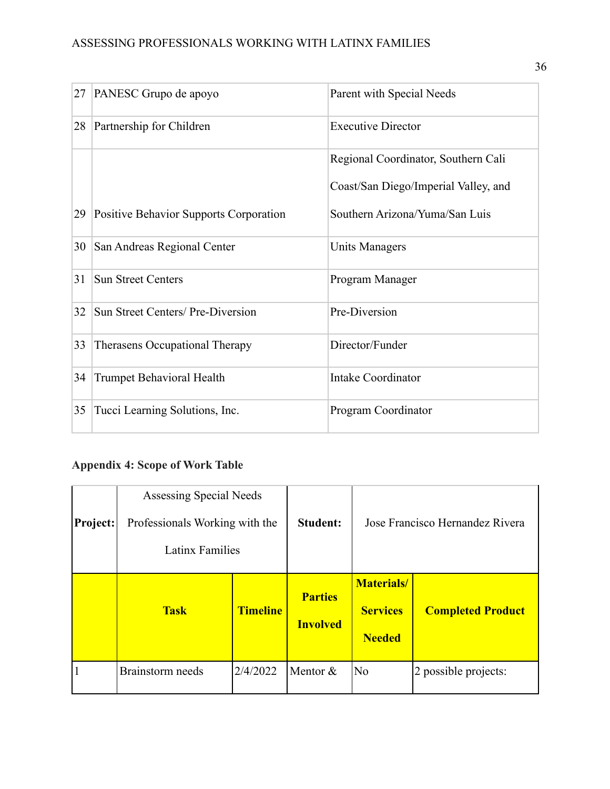| 27 | PANESC Grupo de apoyo                  | Parent with Special Needs            |
|----|----------------------------------------|--------------------------------------|
| 28 | Partnership for Children               | <b>Executive Director</b>            |
|    |                                        | Regional Coordinator, Southern Cali  |
|    |                                        | Coast/San Diego/Imperial Valley, and |
| 29 | Positive Behavior Supports Corporation | Southern Arizona/Yuma/San Luis       |
| 30 | San Andreas Regional Center            | <b>Units Managers</b>                |
| 31 | <b>Sun Street Centers</b>              | Program Manager                      |
| 32 | Sun Street Centers/ Pre-Diversion      | Pre-Diversion                        |
| 33 | Therasens Occupational Therapy         | Director/Funder                      |
| 34 | <b>Trumpet Behavioral Health</b>       | <b>Intake Coordinator</b>            |
| 35 | Tucci Learning Solutions, Inc.         | Program Coordinator                  |

# <span id="page-36-0"></span>**Appendix 4: Scope of Work Table**

| Project: | Assessing Special Needs<br>Professionals Working with the<br><b>Latinx Families</b> |                 | <b>Student:</b>                   | Jose Francisco Hernandez Rivera                        |                          |  |  |  |  |  |  |  |
|----------|-------------------------------------------------------------------------------------|-----------------|-----------------------------------|--------------------------------------------------------|--------------------------|--|--|--|--|--|--|--|
|          | <b>Task</b>                                                                         | <b>Timeline</b> | <b>Parties</b><br><b>Involved</b> | <b>Materials</b> /<br><b>Services</b><br><b>Needed</b> | <b>Completed Product</b> |  |  |  |  |  |  |  |
| 1        | Brainstorm needs                                                                    | 2/4/2022        | Mentor $&$                        | N <sub>0</sub>                                         | 2 possible projects:     |  |  |  |  |  |  |  |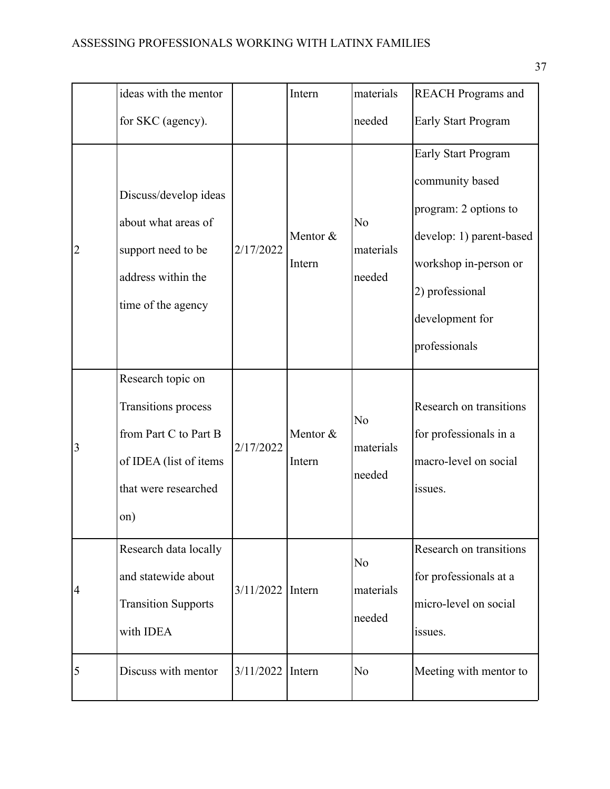|                 | ideas with the mentor                                                                                                      |                  | Intern             | materials                             | <b>REACH Programs and</b>                                                                                                                                                          |
|-----------------|----------------------------------------------------------------------------------------------------------------------------|------------------|--------------------|---------------------------------------|------------------------------------------------------------------------------------------------------------------------------------------------------------------------------------|
|                 | for SKC (agency).                                                                                                          |                  |                    | needed                                | <b>Early Start Program</b>                                                                                                                                                         |
| $ 2\rangle$     | Discuss/develop ideas<br>about what areas of<br>support need to be<br>address within the<br>time of the agency             | 2/17/2022        | Mentor &<br>Intern | No<br>materials<br>needed             | <b>Early Start Program</b><br>community based<br>program: 2 options to<br>develop: 1) parent-based<br>workshop in-person or<br>2) professional<br>development for<br>professionals |
| $\vert 3 \vert$ | Research topic on<br>Transitions process<br>from Part C to Part B<br>of IDEA (list of items<br>that were researched<br>on) | 2/17/2022        | Mentor &<br>Intern | No<br>materials<br>needed             | Research on transitions<br>for professionals in a<br>macro-level on social<br>issues.                                                                                              |
| $\vert 4$       | Research data locally<br>and statewide about<br><b>Transition Supports</b><br>with IDEA                                    | 3/11/2022 Intern |                    | N <sub>o</sub><br>materials<br>needed | Research on transitions<br>for professionals at a<br>micro-level on social<br>issues.                                                                                              |
| $\overline{5}$  | Discuss with mentor                                                                                                        | 3/11/2022 Intern |                    | N <sub>0</sub>                        | Meeting with mentor to                                                                                                                                                             |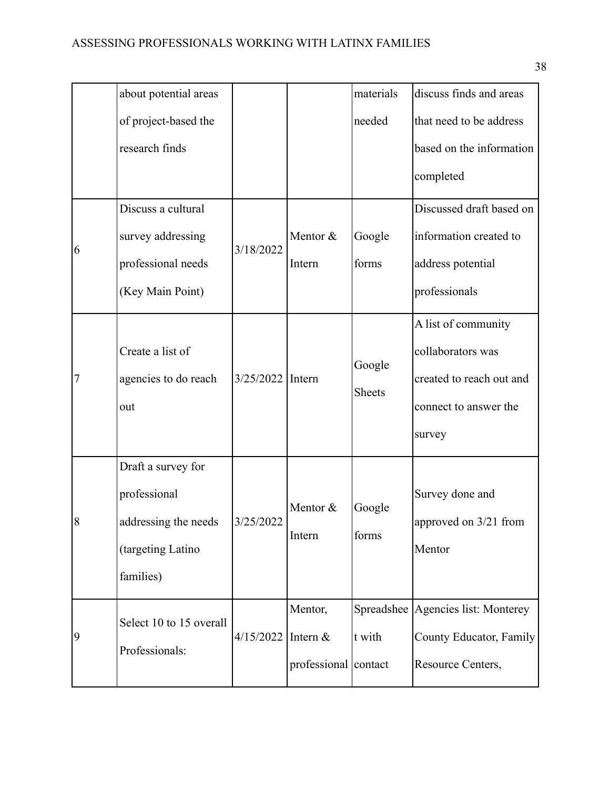|                | about potential areas                                                                        |           |                                             | materials               | discuss finds and areas                                                                                 |
|----------------|----------------------------------------------------------------------------------------------|-----------|---------------------------------------------|-------------------------|---------------------------------------------------------------------------------------------------------|
|                | of project-based the                                                                         |           |                                             | needed                  | that need to be address                                                                                 |
|                | research finds                                                                               |           |                                             |                         | based on the information                                                                                |
|                |                                                                                              |           |                                             |                         | completed                                                                                               |
|                | Discuss a cultural                                                                           |           |                                             |                         | Discussed draft based on                                                                                |
| 6              | survey addressing                                                                            | 3/18/2022 | Mentor &                                    | Google                  | information created to                                                                                  |
|                | professional needs                                                                           |           | Intern                                      | forms                   | address potential                                                                                       |
|                | (Key Main Point)                                                                             |           |                                             |                         | professionals                                                                                           |
| $\overline{7}$ | Create a list of<br>agencies to do reach<br>out                                              | 3/25/2022 | Intern                                      | Google<br><b>Sheets</b> | A list of community<br>collaborators was<br>created to reach out and<br>connect to answer the<br>survey |
| $\overline{8}$ | Draft a survey for<br>professional<br>addressing the needs<br>(targeting Latino<br>families) | 3/25/2022 | Mentor &<br>Intern                          | Google<br>forms         | Survey done and<br>approved on 3/21 from<br>Mentor                                                      |
| $\vert 9$      | Select 10 to 15 overall<br>Professionals:                                                    | 4/15/2022 | Mentor,<br>Intern &<br>professional contact | t with                  | Spreadshee Agencies list: Monterey<br>County Educator, Family<br>Resource Centers,                      |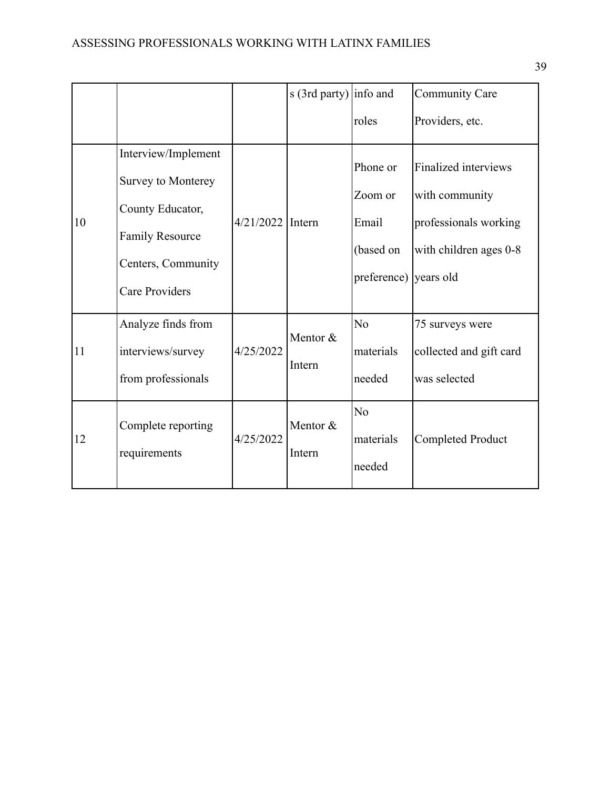|    |                                                                                                                                        |                    | s (3rd party) info and |                                                                    | <b>Community Care</b>                                                                            |
|----|----------------------------------------------------------------------------------------------------------------------------------------|--------------------|------------------------|--------------------------------------------------------------------|--------------------------------------------------------------------------------------------------|
|    |                                                                                                                                        |                    |                        | roles                                                              | Providers, etc.                                                                                  |
| 10 | Interview/Implement<br>Survey to Monterey<br>County Educator,<br><b>Family Resource</b><br>Centers, Community<br><b>Care Providers</b> | $4/21/2022$ Intern |                        | Phone or<br>Zoom or<br>Email<br>(based on<br>preference) years old | <b>Finalized interviews</b><br>with community<br>professionals working<br>with children ages 0-8 |
| 11 | Analyze finds from<br>interviews/survey<br>from professionals                                                                          | 4/25/2022          | Mentor &<br>Intern     | N <sub>o</sub><br>materials<br>needed                              | 75 surveys were<br>collected and gift card<br>was selected                                       |
| 12 | Complete reporting<br>requirements                                                                                                     | 4/25/2022          | Mentor &<br>Intern     | N <sub>o</sub><br>materials<br>needed                              | <b>Completed Product</b>                                                                         |